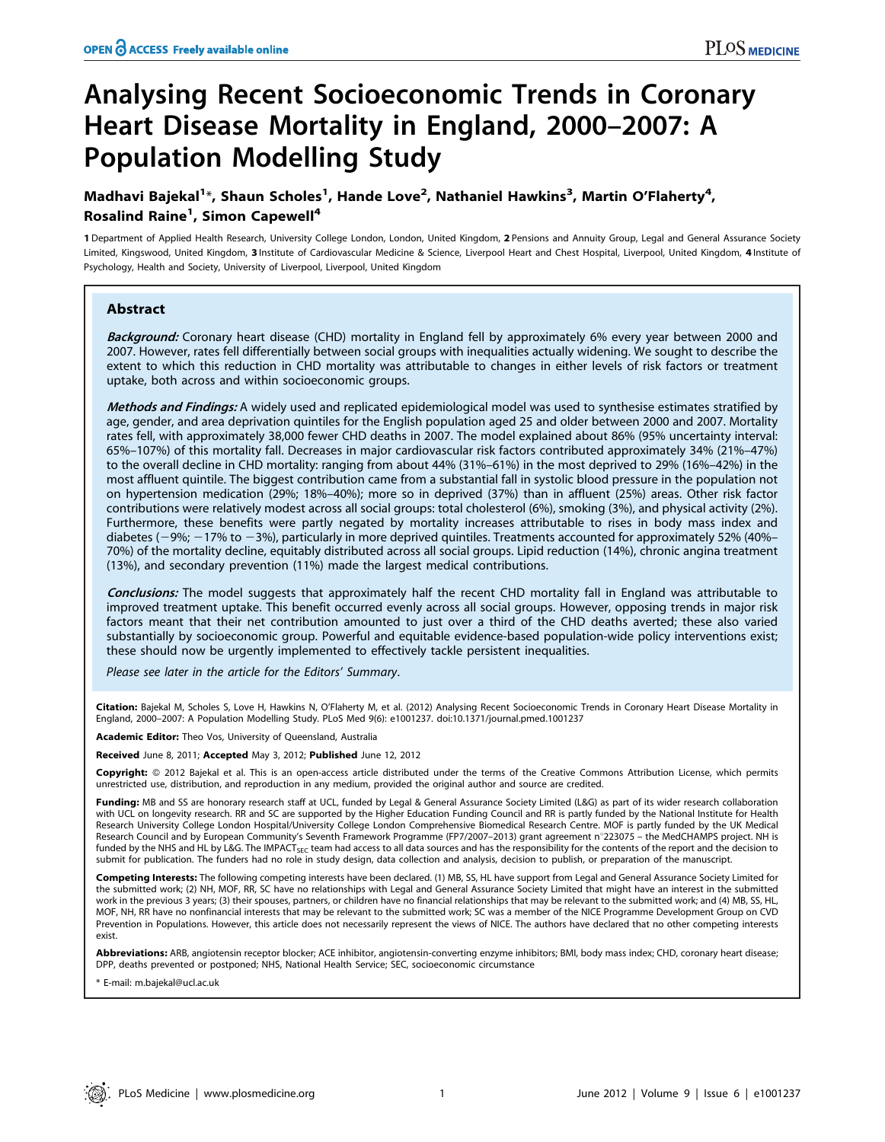# Analysing Recent Socioeconomic Trends in Coronary Heart Disease Mortality in England, 2000–2007: A Population Modelling Study

# Madhavi Bajekal<sup>1</sup>\*, Shaun Scholes<sup>1</sup>, Hande Love<sup>2</sup>, Nathaniel Hawkins<sup>3</sup>, Martin O'Flaherty<sup>4</sup>, Rosalind Raine<sup>1</sup>, Simon Capewell<sup>4</sup>

1 Department of Applied Health Research, University College London, London, United Kingdom, 2 Pensions and Annuity Group, Legal and General Assurance Society Limited, Kingswood, United Kingdom, 3 Institute of Cardiovascular Medicine & Science, Liverpool Heart and Chest Hospital, Liverpool, United Kingdom, 4 Institute of Psychology, Health and Society, University of Liverpool, Liverpool, United Kingdom

# Abstract

Background: Coronary heart disease (CHD) mortality in England fell by approximately 6% every year between 2000 and 2007. However, rates fell differentially between social groups with inequalities actually widening. We sought to describe the extent to which this reduction in CHD mortality was attributable to changes in either levels of risk factors or treatment uptake, both across and within socioeconomic groups.

Methods and Findings: A widely used and replicated epidemiological model was used to synthesise estimates stratified by age, gender, and area deprivation quintiles for the English population aged 25 and older between 2000 and 2007. Mortality rates fell, with approximately 38,000 fewer CHD deaths in 2007. The model explained about 86% (95% uncertainty interval: 65%–107%) of this mortality fall. Decreases in major cardiovascular risk factors contributed approximately 34% (21%–47%) to the overall decline in CHD mortality: ranging from about 44% (31%–61%) in the most deprived to 29% (16%–42%) in the most affluent quintile. The biggest contribution came from a substantial fall in systolic blood pressure in the population not on hypertension medication (29%; 18%–40%); more so in deprived (37%) than in affluent (25%) areas. Other risk factor contributions were relatively modest across all social groups: total cholesterol (6%), smoking (3%), and physical activity (2%). Furthermore, these benefits were partly negated by mortality increases attributable to rises in body mass index and diabetes ( $-9\%$ ;  $-17\%$  to  $-3\%$ ), particularly in more deprived quintiles. Treatments accounted for approximately 52% (40%– 70%) of the mortality decline, equitably distributed across all social groups. Lipid reduction (14%), chronic angina treatment (13%), and secondary prevention (11%) made the largest medical contributions.

Conclusions: The model suggests that approximately half the recent CHD mortality fall in England was attributable to improved treatment uptake. This benefit occurred evenly across all social groups. However, opposing trends in major risk factors meant that their net contribution amounted to just over a third of the CHD deaths averted; these also varied substantially by socioeconomic group. Powerful and equitable evidence-based population-wide policy interventions exist; these should now be urgently implemented to effectively tackle persistent inequalities.

Please see later in the article for the Editors' Summary.

Citation: Bajekal M, Scholes S, Love H, Hawkins N, O'Flaherty M, et al. (2012) Analysing Recent Socioeconomic Trends in Coronary Heart Disease Mortality in England, 2000–2007: A Population Modelling Study. PLoS Med 9(6): e1001237. doi:10.1371/journal.pmed.1001237

cademic Editor: Theo Vos, University of Queensland, Australia

Received June 8, 2011; Accepted May 3, 2012; Published June 12, 2012

Copyright: © 2012 Bajekal et al. This is an open-access article distributed under the terms of the Creative Commons Attribution License, which permits unrestricted use, distribution, and reproduction in any medium, provided the original author and source are credited.

Funding: MB and SS are honorary research staff at UCL, funded by Legal & General Assurance Society Limited (L&G) as part of its wider research collaboration with UCL on longevity research. RR and SC are supported by the Higher Education Funding Council and RR is partly funded by the National Institute for Health Research University College London Hospital/University College London Comprehensive Biomedical Research Centre. MOF is partly funded by the UK Medical Research Council and by European Community's Seventh Framework Programme (FP7/2007-2013) grant agreement n°223075 - the MedCHAMPS project. NH is funded by the NHS and HL by L&G. The IMPACT<sub>SEC</sub> team had access to all data sources and has the responsibility for the contents of the report and the decision to submit for publication. The funders had no role in study design, data collection and analysis, decision to publish, or preparation of the manuscript.

Competing Interests: The following competing interests have been declared. (1) MB, SS, HL have support from Legal and General Assurance Society Limited for the submitted work; (2) NH, MOF, RR, SC have no relationships with Legal and General Assurance Society Limited that might have an interest in the submitted work in the previous 3 years; (3) their spouses, partners, or children have no financial relationships that may be relevant to the submitted work; and (4) MB, SS, HL, MOF, NH, RR have no nonfinancial interests that may be relevant to the submitted work; SC was a member of the NICE Programme Development Group on CVD Prevention in Populations. However, this article does not necessarily represent the views of NICE. The authors have declared that no other competing interests exist.

Abbreviations: ARB, angiotensin receptor blocker; ACE inhibitor, angiotensin-converting enzyme inhibitors; BMI, body mass index; CHD, coronary heart disease; DPP, deaths prevented or postponed; NHS, National Health Service; SEC, socioeconomic circumstance

\* E-mail: m.bajekal@ucl.ac.uk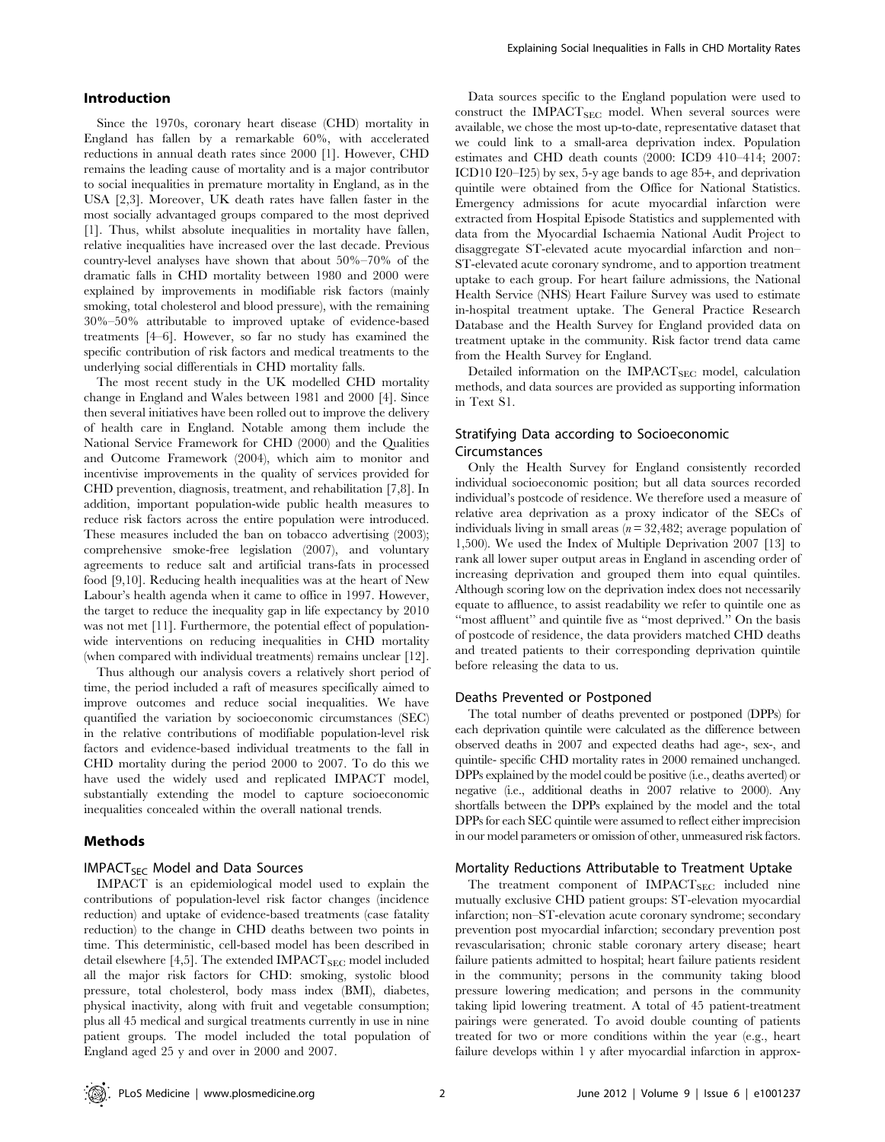# Introduction

Since the 1970s, coronary heart disease (CHD) mortality in England has fallen by a remarkable 60%, with accelerated reductions in annual death rates since 2000 [1]. However, CHD remains the leading cause of mortality and is a major contributor to social inequalities in premature mortality in England, as in the USA [2,3]. Moreover, UK death rates have fallen faster in the most socially advantaged groups compared to the most deprived [1]. Thus, whilst absolute inequalities in mortality have fallen, relative inequalities have increased over the last decade. Previous country-level analyses have shown that about 50%–70% of the dramatic falls in CHD mortality between 1980 and 2000 were explained by improvements in modifiable risk factors (mainly smoking, total cholesterol and blood pressure), with the remaining 30%–50% attributable to improved uptake of evidence-based treatments [4–6]. However, so far no study has examined the specific contribution of risk factors and medical treatments to the underlying social differentials in CHD mortality falls.

The most recent study in the UK modelled CHD mortality change in England and Wales between 1981 and 2000 [4]. Since then several initiatives have been rolled out to improve the delivery of health care in England. Notable among them include the National Service Framework for CHD (2000) and the Qualities and Outcome Framework (2004), which aim to monitor and incentivise improvements in the quality of services provided for CHD prevention, diagnosis, treatment, and rehabilitation [7,8]. In addition, important population-wide public health measures to reduce risk factors across the entire population were introduced. These measures included the ban on tobacco advertising (2003); comprehensive smoke-free legislation (2007), and voluntary agreements to reduce salt and artificial trans-fats in processed food [9,10]. Reducing health inequalities was at the heart of New Labour's health agenda when it came to office in 1997. However, the target to reduce the inequality gap in life expectancy by 2010 was not met [11]. Furthermore, the potential effect of populationwide interventions on reducing inequalities in CHD mortality (when compared with individual treatments) remains unclear [12].

Thus although our analysis covers a relatively short period of time, the period included a raft of measures specifically aimed to improve outcomes and reduce social inequalities. We have quantified the variation by socioeconomic circumstances (SEC) in the relative contributions of modifiable population-level risk factors and evidence-based individual treatments to the fall in CHD mortality during the period 2000 to 2007. To do this we have used the widely used and replicated IMPACT model, substantially extending the model to capture socioeconomic inequalities concealed within the overall national trends.

# Methods

# IMPACT<sub>SEC</sub> Model and Data Sources

IMPACT is an epidemiological model used to explain the contributions of population-level risk factor changes (incidence reduction) and uptake of evidence-based treatments (case fatality reduction) to the change in CHD deaths between two points in time. This deterministic, cell-based model has been described in detail elsewhere [4,5]. The extended  $IMPACT_{SEC}$  model included all the major risk factors for CHD: smoking, systolic blood pressure, total cholesterol, body mass index (BMI), diabetes, physical inactivity, along with fruit and vegetable consumption; plus all 45 medical and surgical treatments currently in use in nine patient groups. The model included the total population of England aged 25 y and over in 2000 and 2007.

Data sources specific to the England population were used to construct the IMPACT $_{\text{SEC}}$  model. When several sources were available, we chose the most up-to-date, representative dataset that we could link to a small-area deprivation index. Population estimates and CHD death counts (2000: ICD9 410–414; 2007: ICD10 I20–I25) by sex, 5-y age bands to age 85+, and deprivation quintile were obtained from the Office for National Statistics. Emergency admissions for acute myocardial infarction were extracted from Hospital Episode Statistics and supplemented with data from the Myocardial Ischaemia National Audit Project to disaggregate ST-elevated acute myocardial infarction and non– ST-elevated acute coronary syndrome, and to apportion treatment uptake to each group. For heart failure admissions, the National Health Service (NHS) Heart Failure Survey was used to estimate in-hospital treatment uptake. The General Practice Research Database and the Health Survey for England provided data on treatment uptake in the community. Risk factor trend data came from the Health Survey for England.

Detailed information on the IMPACT<sub>SEC</sub> model, calculation methods, and data sources are provided as supporting information in Text S1.

# Stratifying Data according to Socioeconomic Circumstances

Only the Health Survey for England consistently recorded individual socioeconomic position; but all data sources recorded individual's postcode of residence. We therefore used a measure of relative area deprivation as a proxy indicator of the SECs of individuals living in small areas  $(n = 32,482;$  average population of 1,500). We used the Index of Multiple Deprivation 2007 [13] to rank all lower super output areas in England in ascending order of increasing deprivation and grouped them into equal quintiles. Although scoring low on the deprivation index does not necessarily equate to affluence, to assist readability we refer to quintile one as ''most affluent'' and quintile five as ''most deprived.'' On the basis of postcode of residence, the data providers matched CHD deaths and treated patients to their corresponding deprivation quintile before releasing the data to us.

### Deaths Prevented or Postponed

The total number of deaths prevented or postponed (DPPs) for each deprivation quintile were calculated as the difference between observed deaths in 2007 and expected deaths had age-, sex-, and quintile- specific CHD mortality rates in 2000 remained unchanged. DPPs explained by the model could be positive (i.e., deaths averted) or negative (i.e., additional deaths in 2007 relative to 2000). Any shortfalls between the DPPs explained by the model and the total DPPs for each SEC quintile were assumed to reflect either imprecision in our model parameters or omission of other, unmeasured risk factors.

### Mortality Reductions Attributable to Treatment Uptake

The treatment component of  $IMPACT_{SEC}$  included nine mutually exclusive CHD patient groups: ST-elevation myocardial infarction; non–ST-elevation acute coronary syndrome; secondary prevention post myocardial infarction; secondary prevention post revascularisation; chronic stable coronary artery disease; heart failure patients admitted to hospital; heart failure patients resident in the community; persons in the community taking blood pressure lowering medication; and persons in the community taking lipid lowering treatment. A total of 45 patient-treatment pairings were generated. To avoid double counting of patients treated for two or more conditions within the year (e.g., heart failure develops within 1 y after myocardial infarction in approx-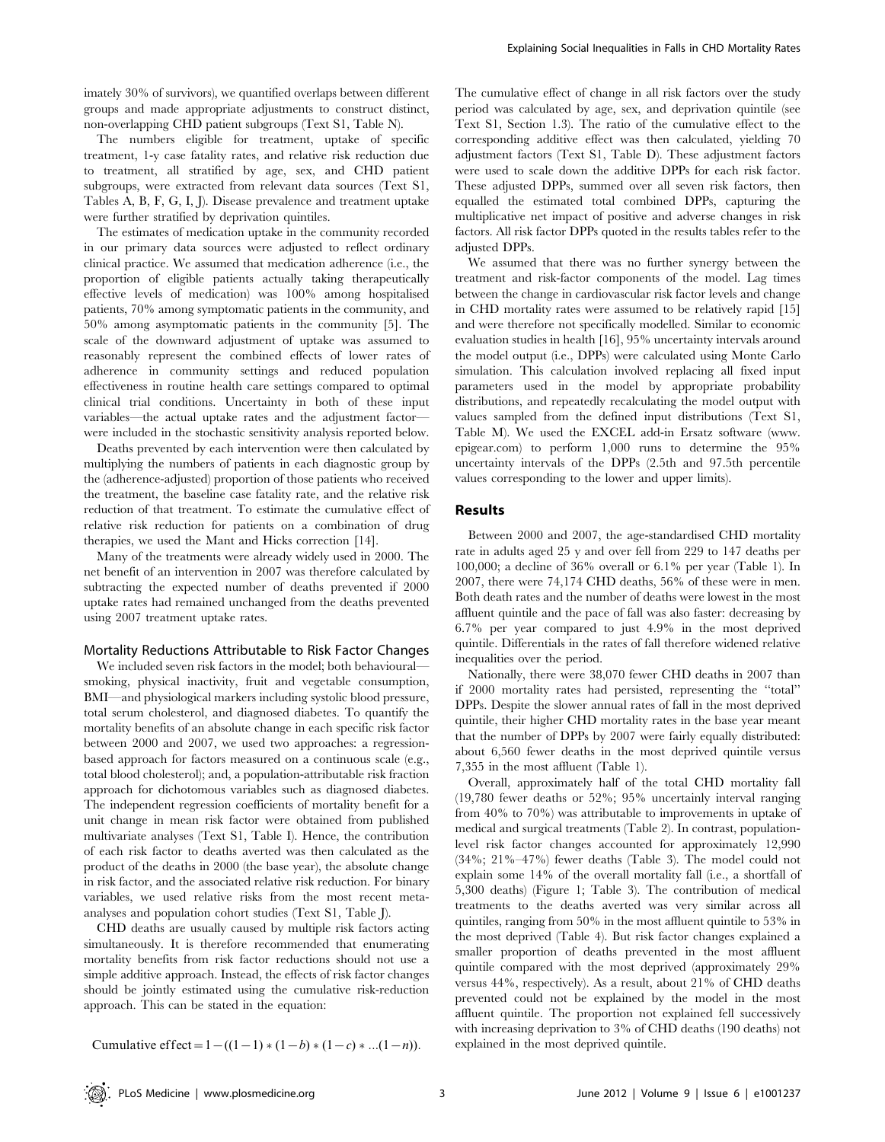The numbers eligible for treatment, uptake of specific treatment, 1-y case fatality rates, and relative risk reduction due to treatment, all stratified by age, sex, and CHD patient subgroups, were extracted from relevant data sources (Text S1, Tables A, B, F, G, I, J). Disease prevalence and treatment uptake were further stratified by deprivation quintiles.

The estimates of medication uptake in the community recorded in our primary data sources were adjusted to reflect ordinary clinical practice. We assumed that medication adherence (i.e., the proportion of eligible patients actually taking therapeutically effective levels of medication) was 100% among hospitalised patients, 70% among symptomatic patients in the community, and 50% among asymptomatic patients in the community [5]. The scale of the downward adjustment of uptake was assumed to reasonably represent the combined effects of lower rates of adherence in community settings and reduced population effectiveness in routine health care settings compared to optimal clinical trial conditions. Uncertainty in both of these input variables—the actual uptake rates and the adjustment factor were included in the stochastic sensitivity analysis reported below.

Deaths prevented by each intervention were then calculated by multiplying the numbers of patients in each diagnostic group by the (adherence-adjusted) proportion of those patients who received the treatment, the baseline case fatality rate, and the relative risk reduction of that treatment. To estimate the cumulative effect of relative risk reduction for patients on a combination of drug therapies, we used the Mant and Hicks correction [14].

Many of the treatments were already widely used in 2000. The net benefit of an intervention in 2007 was therefore calculated by subtracting the expected number of deaths prevented if 2000 uptake rates had remained unchanged from the deaths prevented using 2007 treatment uptake rates.

# Mortality Reductions Attributable to Risk Factor Changes

We included seven risk factors in the model; both behaviouralsmoking, physical inactivity, fruit and vegetable consumption, BMI—and physiological markers including systolic blood pressure, total serum cholesterol, and diagnosed diabetes. To quantify the mortality benefits of an absolute change in each specific risk factor between 2000 and 2007, we used two approaches: a regressionbased approach for factors measured on a continuous scale (e.g., total blood cholesterol); and, a population-attributable risk fraction approach for dichotomous variables such as diagnosed diabetes. The independent regression coefficients of mortality benefit for a unit change in mean risk factor were obtained from published multivariate analyses (Text S1, Table I). Hence, the contribution of each risk factor to deaths averted was then calculated as the product of the deaths in 2000 (the base year), the absolute change in risk factor, and the associated relative risk reduction. For binary variables, we used relative risks from the most recent metaanalyses and population cohort studies (Text S1, Table J).

CHD deaths are usually caused by multiple risk factors acting simultaneously. It is therefore recommended that enumerating mortality benefits from risk factor reductions should not use a simple additive approach. Instead, the effects of risk factor changes should be jointly estimated using the cumulative risk-reduction approach. This can be stated in the equation:

Cumulative effect = 
$$
1 - ((1 - 1) * (1 - b) * (1 - c) * ... (1 - n)).
$$

The cumulative effect of change in all risk factors over the study period was calculated by age, sex, and deprivation quintile (see Text S1, Section 1.3). The ratio of the cumulative effect to the corresponding additive effect was then calculated, yielding 70 adjustment factors (Text S1, Table D). These adjustment factors were used to scale down the additive DPPs for each risk factor. These adjusted DPPs, summed over all seven risk factors, then equalled the estimated total combined DPPs, capturing the multiplicative net impact of positive and adverse changes in risk factors. All risk factor DPPs quoted in the results tables refer to the adjusted DPPs.

We assumed that there was no further synergy between the treatment and risk-factor components of the model. Lag times between the change in cardiovascular risk factor levels and change in CHD mortality rates were assumed to be relatively rapid [15] and were therefore not specifically modelled. Similar to economic evaluation studies in health [16], 95% uncertainty intervals around the model output (i.e., DPPs) were calculated using Monte Carlo simulation. This calculation involved replacing all fixed input parameters used in the model by appropriate probability distributions, and repeatedly recalculating the model output with values sampled from the defined input distributions (Text S1, Table M). We used the EXCEL add-in Ersatz software (www. epigear.com) to perform 1,000 runs to determine the 95% uncertainty intervals of the DPPs (2.5th and 97.5th percentile values corresponding to the lower and upper limits).

# Results

Between 2000 and 2007, the age-standardised CHD mortality rate in adults aged 25 y and over fell from 229 to 147 deaths per 100,000; a decline of 36% overall or 6.1% per year (Table 1). In 2007, there were 74,174 CHD deaths, 56% of these were in men. Both death rates and the number of deaths were lowest in the most affluent quintile and the pace of fall was also faster: decreasing by 6.7% per year compared to just 4.9% in the most deprived quintile. Differentials in the rates of fall therefore widened relative inequalities over the period.

Nationally, there were 38,070 fewer CHD deaths in 2007 than if 2000 mortality rates had persisted, representing the ''total'' DPPs. Despite the slower annual rates of fall in the most deprived quintile, their higher CHD mortality rates in the base year meant that the number of DPPs by 2007 were fairly equally distributed: about 6,560 fewer deaths in the most deprived quintile versus 7,355 in the most affluent (Table 1).

Overall, approximately half of the total CHD mortality fall (19,780 fewer deaths or 52%; 95% uncertainly interval ranging from 40% to 70%) was attributable to improvements in uptake of medical and surgical treatments (Table 2). In contrast, populationlevel risk factor changes accounted for approximately 12,990 (34%; 21%–47%) fewer deaths (Table 3). The model could not explain some 14% of the overall mortality fall (i.e., a shortfall of 5,300 deaths) (Figure 1; Table 3). The contribution of medical treatments to the deaths averted was very similar across all quintiles, ranging from 50% in the most affluent quintile to 53% in the most deprived (Table 4). But risk factor changes explained a smaller proportion of deaths prevented in the most affluent quintile compared with the most deprived (approximately 29% versus 44%, respectively). As a result, about 21% of CHD deaths prevented could not be explained by the model in the most affluent quintile. The proportion not explained fell successively with increasing deprivation to 3% of CHD deaths (190 deaths) not explained in the most deprived quintile.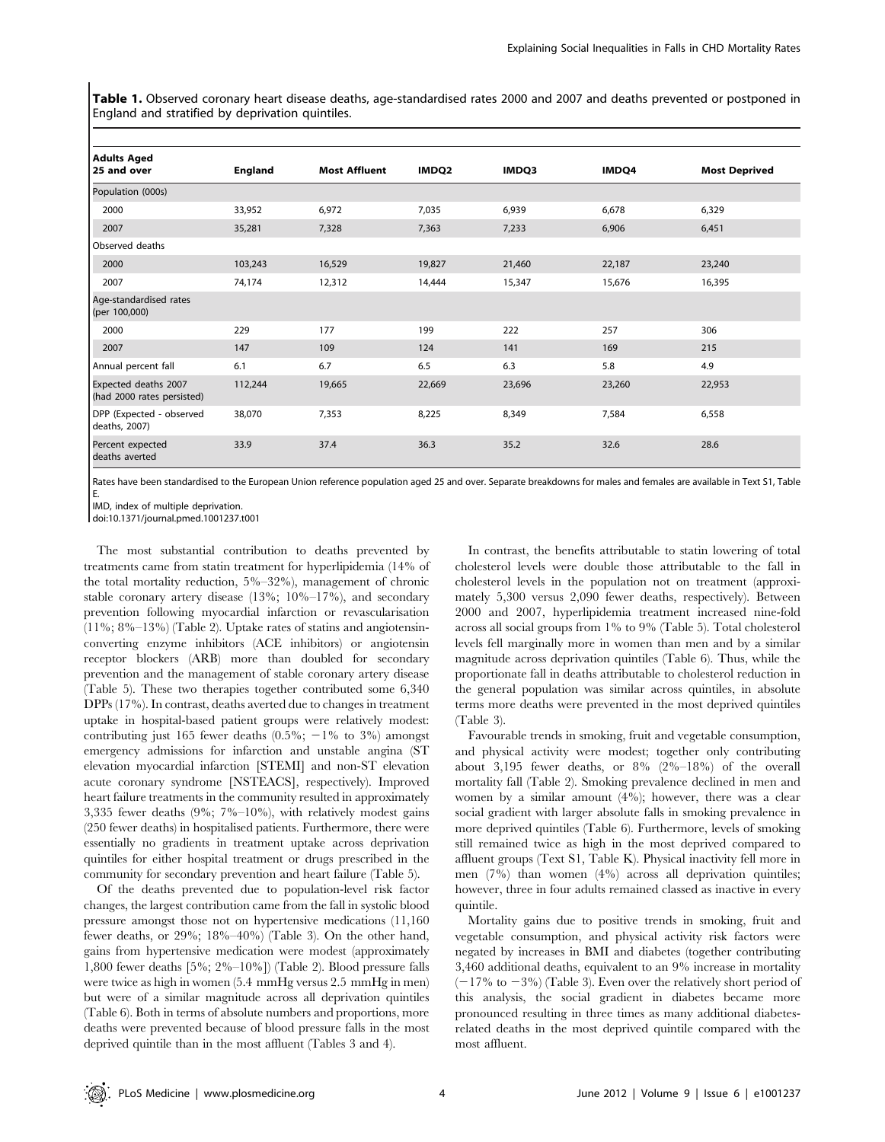Table 1. Observed coronary heart disease deaths, age-standardised rates 2000 and 2007 and deaths prevented or postponed in England and stratified by deprivation quintiles.

| <b>Adults Aged</b><br>25 and over                  | <b>England</b> | <b>Most Affluent</b> | IMDQ2  | IMDQ3  | IMDQ4  | <b>Most Deprived</b> |
|----------------------------------------------------|----------------|----------------------|--------|--------|--------|----------------------|
| Population (000s)                                  |                |                      |        |        |        |                      |
| 2000                                               | 33,952         | 6,972                | 7,035  | 6,939  | 6,678  | 6,329                |
| 2007                                               | 35,281         | 7,328                | 7,363  | 7,233  | 6,906  | 6,451                |
| Observed deaths                                    |                |                      |        |        |        |                      |
| 2000                                               | 103,243        | 16,529               | 19,827 | 21,460 | 22,187 | 23,240               |
| 2007                                               | 74,174         | 12,312               | 14,444 | 15,347 | 15,676 | 16,395               |
| Age-standardised rates<br>(per 100,000)            |                |                      |        |        |        |                      |
| 2000                                               | 229            | 177                  | 199    | 222    | 257    | 306                  |
| 2007                                               | 147            | 109                  | 124    | 141    | 169    | 215                  |
| Annual percent fall                                | 6.1            | 6.7                  | 6.5    | 6.3    | 5.8    | 4.9                  |
| Expected deaths 2007<br>(had 2000 rates persisted) | 112,244        | 19,665               | 22,669 | 23,696 | 23,260 | 22,953               |
| DPP (Expected - observed<br>deaths, 2007)          | 38,070         | 7,353                | 8,225  | 8,349  | 7,584  | 6,558                |
| Percent expected<br>deaths averted                 | 33.9           | 37.4                 | 36.3   | 35.2   | 32.6   | 28.6                 |

Rates have been standardised to the European Union reference population aged 25 and over. Separate breakdowns for males and females are available in Text S1, Table E.

IMD, index of multiple deprivation.

doi:10.1371/journal.pmed.1001237.t001

The most substantial contribution to deaths prevented by treatments came from statin treatment for hyperlipidemia (14% of the total mortality reduction, 5%–32%), management of chronic stable coronary artery disease (13%; 10%–17%), and secondary prevention following myocardial infarction or revascularisation  $(11\%; 8\% - 13\%)$  (Table 2). Uptake rates of statins and angiotensinconverting enzyme inhibitors (ACE inhibitors) or angiotensin receptor blockers (ARB) more than doubled for secondary prevention and the management of stable coronary artery disease (Table 5). These two therapies together contributed some 6,340 DPPs (17%). In contrast, deaths averted due to changes in treatment uptake in hospital-based patient groups were relatively modest: contributing just 165 fewer deaths  $(0.5\%; -1\%$  to 3%) amongst emergency admissions for infarction and unstable angina (ST elevation myocardial infarction [STEMI] and non-ST elevation acute coronary syndrome [NSTEACS], respectively). Improved heart failure treatments in the community resulted in approximately 3,335 fewer deaths  $(9\%; 7\% - 10\%)$ , with relatively modest gains (250 fewer deaths) in hospitalised patients. Furthermore, there were essentially no gradients in treatment uptake across deprivation quintiles for either hospital treatment or drugs prescribed in the community for secondary prevention and heart failure (Table 5).

Of the deaths prevented due to population-level risk factor changes, the largest contribution came from the fall in systolic blood pressure amongst those not on hypertensive medications (11,160 fewer deaths, or 29%; 18%–40%) (Table 3). On the other hand, gains from hypertensive medication were modest (approximately 1,800 fewer deaths [5%; 2%–10%]) (Table 2). Blood pressure falls were twice as high in women (5.4 mmHg versus 2.5 mmHg in men) but were of a similar magnitude across all deprivation quintiles (Table 6). Both in terms of absolute numbers and proportions, more deaths were prevented because of blood pressure falls in the most deprived quintile than in the most affluent (Tables 3 and 4).

In contrast, the benefits attributable to statin lowering of total cholesterol levels were double those attributable to the fall in cholesterol levels in the population not on treatment (approximately 5,300 versus 2,090 fewer deaths, respectively). Between 2000 and 2007, hyperlipidemia treatment increased nine-fold across all social groups from 1% to 9% (Table 5). Total cholesterol levels fell marginally more in women than men and by a similar magnitude across deprivation quintiles (Table 6). Thus, while the proportionate fall in deaths attributable to cholesterol reduction in the general population was similar across quintiles, in absolute terms more deaths were prevented in the most deprived quintiles (Table 3).

Favourable trends in smoking, fruit and vegetable consumption, and physical activity were modest; together only contributing about 3,195 fewer deaths, or 8% (2%–18%) of the overall mortality fall (Table 2). Smoking prevalence declined in men and women by a similar amount (4%); however, there was a clear social gradient with larger absolute falls in smoking prevalence in more deprived quintiles (Table 6). Furthermore, levels of smoking still remained twice as high in the most deprived compared to affluent groups (Text S1, Table K). Physical inactivity fell more in men (7%) than women (4%) across all deprivation quintiles; however, three in four adults remained classed as inactive in every quintile.

Mortality gains due to positive trends in smoking, fruit and vegetable consumption, and physical activity risk factors were negated by increases in BMI and diabetes (together contributing 3,460 additional deaths, equivalent to an 9% increase in mortality  $(-17\%$  to  $-3\%)$  (Table 3). Even over the relatively short period of this analysis, the social gradient in diabetes became more pronounced resulting in three times as many additional diabetesrelated deaths in the most deprived quintile compared with the most affluent.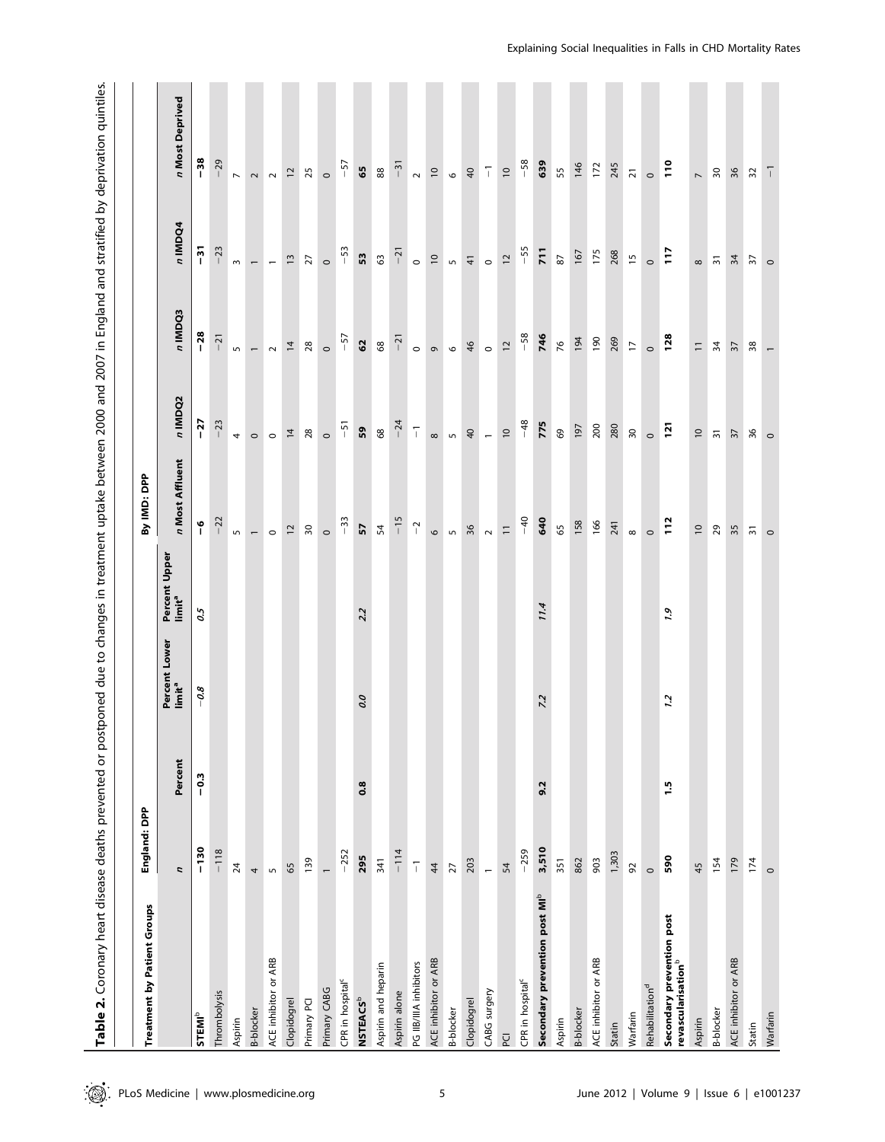Table 2. Coronary heart disease deaths prevented or postponed due to changes in treatment uptake between 2000 and 2007 in England and stratified by deprivation quintiles. Table 2. Coronary heart disease deaths prevented or postponed due to changes in treatment uptake between 2000 and 2007 in England and stratified by deprivation quintiles.

 $\overline{\phantom{a}}$  $\sim$ 

| <b>Treatment by Patient Groups</b>                          | England: DPP             |                      |                                     |                                     | By IMD: DPP              |                          |                          |                          |                 |
|-------------------------------------------------------------|--------------------------|----------------------|-------------------------------------|-------------------------------------|--------------------------|--------------------------|--------------------------|--------------------------|-----------------|
|                                                             | U                        | Percent              | Percent Lower<br>limit <sup>a</sup> | Percent Upper<br>limit <sup>a</sup> | n Most Affluent          | n IMDQ2                  | n IMDQ3                  | n IMDQ4                  | n Most Deprived |
| <b>STEMI</b> <sup>b</sup>                                   | $-130$                   | $-0.3$               | $\sigma$                            | 0.5                                 | ٩                        | $-27$                    | $-28$                    | $\overline{3}$           | $-38$           |
| Thrombolysis                                                | $-118$                   |                      |                                     |                                     | $-22$                    | $-23$                    | $-21$                    | $-23$                    | $-29$           |
| Aspirin                                                     | $\overline{24}$          |                      |                                     |                                     | S                        | 4                        | S                        | $\sim$                   | $\overline{ }$  |
| <b>B-blocker</b>                                            | 4                        |                      |                                     |                                     | $\overline{\phantom{0}}$ | $\circ$                  | $\overline{\phantom{0}}$ | $\overline{\phantom{0}}$ | $\sim$          |
| ACE inhibitor or ARB                                        | $\mathsf{L}\cap$         |                      |                                     |                                     | $\circ$                  | $\circ$                  | $\sim$                   | $\overline{a}$           | $\sim$          |
| Clopidogrel                                                 | 65                       |                      |                                     |                                     | 12                       | $\overline{4}$           | $\overline{4}$           | $\tilde{1}$              | $\overline{c}$  |
| Primary PCI                                                 | 139                      |                      |                                     |                                     | $\sqrt{30}$              | 28                       | 28                       | $\overline{z}$           | 25              |
| Primary CABG                                                | $\overline{a}$           |                      |                                     |                                     | $\circ$                  | $\circ$                  | $\circ$                  | $\circ$                  | $\circ$         |
| CPR in hospital <sup>c</sup>                                | $-252$                   |                      |                                     |                                     | $-33$                    | $-51$                    | $-57$                    | $-53$                    | $-57$           |
| <b>NSTEACS</b> <sup>b</sup>                                 | 295                      | $\ddot{\text{o}}$ .8 | 0.0                                 | 2.2                                 | 57                       | 59                       | 62                       | 53                       | 65              |
| Aspirin and heparin                                         | 341                      |                      |                                     |                                     | 54                       | $68\,$                   | $\mathsf{68}$            | $\mathbb{S}^3$           | $_{88}$         |
| Aspirin alone                                               | $-114$                   |                      |                                     |                                     | $-15$                    | $-24$                    | $-21$                    | $-21$                    | $-31$           |
| PG IIB/IIIA inhibitors                                      | $\overline{\mathbf{1}}$  |                      |                                     |                                     | $\overline{a}$           | $\overline{1}$           | $\circ$                  | $\circ$                  | $\sim$          |
| ACE inhibitor or ARB                                        | $\ddot{4}$               |                      |                                     |                                     | $\circ$                  | $\infty$                 | $\circ$                  | $\overline{a}$           | $\overline{0}$  |
| <b>B-blocker</b>                                            | $\overline{\mathbf{27}}$ |                      |                                     |                                     | LN.                      | $\mathsf{L}$             | $\circ$                  | LO.                      | $\circ$         |
| Clopidogrel                                                 | 203                      |                      |                                     |                                     | 36                       | 40                       | 46                       | $\frac{4}{3}$            | $\overline{40}$ |
| CABG surgery                                                | $\leftarrow$             |                      |                                     |                                     | $\sim$                   | $\overline{\phantom{0}}$ | $\circ$                  | $\circ$                  | $\overline{1}$  |
| PCI                                                         | 54                       |                      |                                     |                                     | $\equiv$                 | $\overline{0}$           | $\overline{c}$           | $\overline{\mathsf{c}}$  | $\overline{0}$  |
| CPR in hospital <sup>c</sup>                                | $-259$                   |                      |                                     |                                     | $-40$                    | $-48$                    | $-58$                    | $-55$                    | $-58$           |
| Secondary prevention post MI <sup>b</sup>                   | 3,510                    | 9.2                  | 7.2                                 | 11.4                                | 640                      | 775                      | 746                      | 711                      | 639             |
| Aspirin                                                     | 351                      |                      |                                     |                                     | 59                       | $69$                     | 76                       | $\rm 87$                 | 55              |
| <b>B-blocker</b>                                            | 862                      |                      |                                     |                                     | 158                      | 197                      | 194                      | 167                      | 146             |
| ACE inhibitor or ARB                                        | 903                      |                      |                                     |                                     | 166                      | 200                      | 190                      | 175                      | 172             |
| Statin                                                      | 1,303                    |                      |                                     |                                     | 241                      | 280                      | 269                      | 268                      | 245             |
| Warfarin                                                    | $\mathcal{S}$            |                      |                                     |                                     | $\infty$                 | $\overline{30}$          | $\overline{1}$           | $\frac{15}{2}$           | $\overline{21}$ |
| Rehabilitation <sup>d</sup>                                 | $\circ$                  |                      |                                     |                                     | $\circ$                  | $\circ$                  | $\circ$                  | $\circ$                  | $\circ$         |
| Secondary prevention post<br>revascularisation <sup>b</sup> | 590                      | $\ddot{ }$ .5        | 21                                  | $\overline{\mathfrak{c}}$ .         | 112                      | $\overline{5}$           | 128                      | Ξ                        | $\frac{1}{2}$   |
| Aspirin                                                     | 45                       |                      |                                     |                                     | $\overline{0}$           | $\overline{C}$           | $\Xi$                    | $\infty$                 | $\overline{ }$  |
| <b>B-blocker</b>                                            | 154                      |                      |                                     |                                     | 29                       | $\overline{3}$           | $\overline{34}$          | $\overline{31}$          | 50              |
| ACE inhibitor or ARB                                        | 179                      |                      |                                     |                                     | 35                       | $\overline{37}$          | $\overline{37}$          | 34                       | 36              |
| Statin                                                      | 174                      |                      |                                     |                                     | $\overline{5}$           | 36                       | $38\,$                   | $\overline{37}$          | $\overline{32}$ |
| Warfarin                                                    | $\circ$                  |                      |                                     |                                     | $\circ$                  | $\circ$                  |                          | $\circ$                  | Ì.              |

and in

 $\sim$ 

 $\sim$ 

**COL**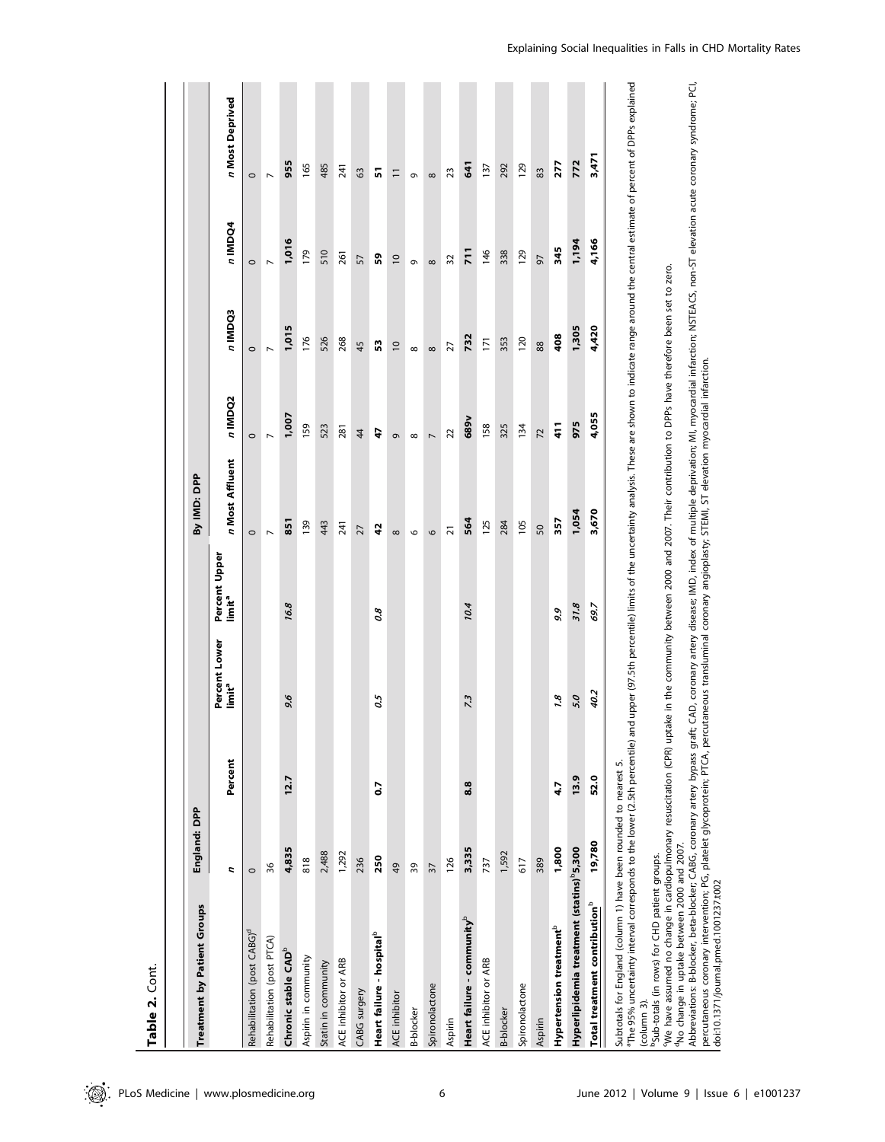| <b>Treatment by Patient Groups</b>                                                                                                                                                                                                                                                                           | England: DPP |                |                                     |                                     | By IMD: DPP     |                     |                 |                 |                 |
|--------------------------------------------------------------------------------------------------------------------------------------------------------------------------------------------------------------------------------------------------------------------------------------------------------------|--------------|----------------|-------------------------------------|-------------------------------------|-----------------|---------------------|-----------------|-----------------|-----------------|
|                                                                                                                                                                                                                                                                                                              | c            | Percent        | Percent Lower<br>limit <sup>a</sup> | Percent Upper<br>limit <sup>a</sup> | n Most Affluent | n IMD <sub>Q2</sub> | n IMDQ3         | n IMDQ4         | n Most Deprived |
| Rehabilitation (post CABG) <sup>d</sup>                                                                                                                                                                                                                                                                      | $\circ$      |                |                                     |                                     | $\circ$         | $\circ$             | $\circ$         | $\circ$         | $\circ$         |
| Rehabilitation (post PTCA)                                                                                                                                                                                                                                                                                   | 96           |                |                                     |                                     | $\overline{ }$  | $\overline{ }$      | $\overline{ }$  | $\overline{ }$  | $\overline{ }$  |
| Chronic stable CAD <sup>b</sup>                                                                                                                                                                                                                                                                              | 4,835        | 12.7           | 9.6                                 | 16.8                                | 851             | 1,007               | 1,015           | 1,016           | 955             |
| Aspirin in community                                                                                                                                                                                                                                                                                         | 818          |                |                                     |                                     | 139             | 159                 | 176             | 179             | 165             |
| Statin in community                                                                                                                                                                                                                                                                                          | 2,488        |                |                                     |                                     | 443             | 523                 | 526             | 510             | 485             |
| ACE inhibitor or ARB                                                                                                                                                                                                                                                                                         | 1,292        |                |                                     |                                     | 241             | 281                 | 268             | 261             | 241             |
| CABG surgery                                                                                                                                                                                                                                                                                                 | 236          |                |                                     |                                     | 27              | $\frac{4}{3}$       | 45              | 57              | 63              |
| Heart failure - hospital <sup>b</sup>                                                                                                                                                                                                                                                                        | 250          | $\overline{0}$ | 0.5                                 | 0.8                                 | 42              | 47                  | ក្ល             | ၵိ              | ត               |
| ACE inhibitor                                                                                                                                                                                                                                                                                                | 49           |                |                                     |                                     | $\infty$        | G                   | $\overline{10}$ | $\approx$       | $\overline{1}$  |
| <b>B-blocker</b>                                                                                                                                                                                                                                                                                             | 39           |                |                                     |                                     | $\circ$         | $\infty$            | $\infty$        | G               | G               |
| Spironolactone                                                                                                                                                                                                                                                                                               | 37           |                |                                     |                                     | $\circ$         | $\overline{ }$      | $\infty$        | $\infty$        | $\infty$        |
| Aspirin                                                                                                                                                                                                                                                                                                      | 126          |                |                                     |                                     | ភ               | 22                  | 27              | 32              | 23              |
| Heart failure - community <sup>b</sup>                                                                                                                                                                                                                                                                       | 3,335        | 8.8            | 7.3                                 | 10.4                                | 564             | 689v                | 732             | $\overline{71}$ | 541             |
| ACE inhibitor or ARB                                                                                                                                                                                                                                                                                         | 737          |                |                                     |                                     | 125             | 158                 | 171             | 146             | 137             |
| <b>B-blocker</b>                                                                                                                                                                                                                                                                                             | 1,592        |                |                                     |                                     | 284             | 325                 | 353             | 338             | 292             |
| Spironolactone                                                                                                                                                                                                                                                                                               | 617          |                |                                     |                                     | 105             | 134                 | 120             | 129             | 129             |
| Aspirin                                                                                                                                                                                                                                                                                                      | 389          |                |                                     |                                     | 50              | 72                  | 88              | 57              | 83              |
| Hypertension treatment <sup>b</sup>                                                                                                                                                                                                                                                                          | 1,800        | 4.7            | 1.8                                 | 9.9                                 | 357             | $\frac{1}{4}$       | 408             | 345             | 277             |
| Hyperlipidemia treatment (statins) <sup>b</sup> 5,300                                                                                                                                                                                                                                                        |              | 13.9           | 5.0                                 | 31.8                                | 1,054           | 975                 | 1,305           | 1,194           | 772             |
| <b>Total treatment contribution</b> <sup>b</sup>                                                                                                                                                                                                                                                             | 19,780       | 52.0           | 40.2                                | 69.7                                | 3,670           | 4,055               | 4,420           | 4,166           | 3,471           |
| <sup>a</sup> The 95% uncertainty interval corresponds to the lower (2.5th percentile) and upper (97.5th percentile) limits of the uncertainty analysis. These are shown to indicate range around the central estimate of percent of DPPs<br>Subtotals for England (column 1) have been rounded to nearest 5. |              |                |                                     |                                     |                 |                     |                 |                 |                 |
| <sup>b</sup> Sub-totals (in rows) for CHD patient groups.<br>(column 3).                                                                                                                                                                                                                                     |              |                |                                     |                                     |                 |                     |                 |                 |                 |
| We have assumed no change in cardiopulmonary resuscitation (CPR) uptake in the community between 2000 and 2007. Their contribution to DPPs have therefore been set to zero.                                                                                                                                  |              |                |                                     |                                     |                 |                     |                 |                 |                 |

Table 2. Cont.

Table 2. Cont.

doi:10.1371/journal.pmed.1001237.t002

We have assumed no change in cardiopulmonary resuscitation (CPR) uptake in the community between 2000 and 2007. Their contribution to DPPs have therefore been set to zero.<br>No change in uptake between 2000 and 2007.

Abbreviations: B-blocker, beta-blocker; CABG, coronary artery bypass graft; CAD, coronary artery disease; IMD, index of multiple deprivation; MI, myocardial infarction; NSTEACS, non-ST elevation acute coronary syndrome; PCI,

"No change in uptake between 2000 and 2007.<br>Abbreviations: B-blocker, beta-blocker, CABG, coronary are spaces are provided at the section of the deprivation; MJ, myocardial infarction; NSTEACS, non-ST elevation acute coron

percutaneous coronary intervention; PG, platelet glycoprotein; PTCA, percutaneous transluminal coronary angioplasty; STEMI, ST elevation myocardial infarction.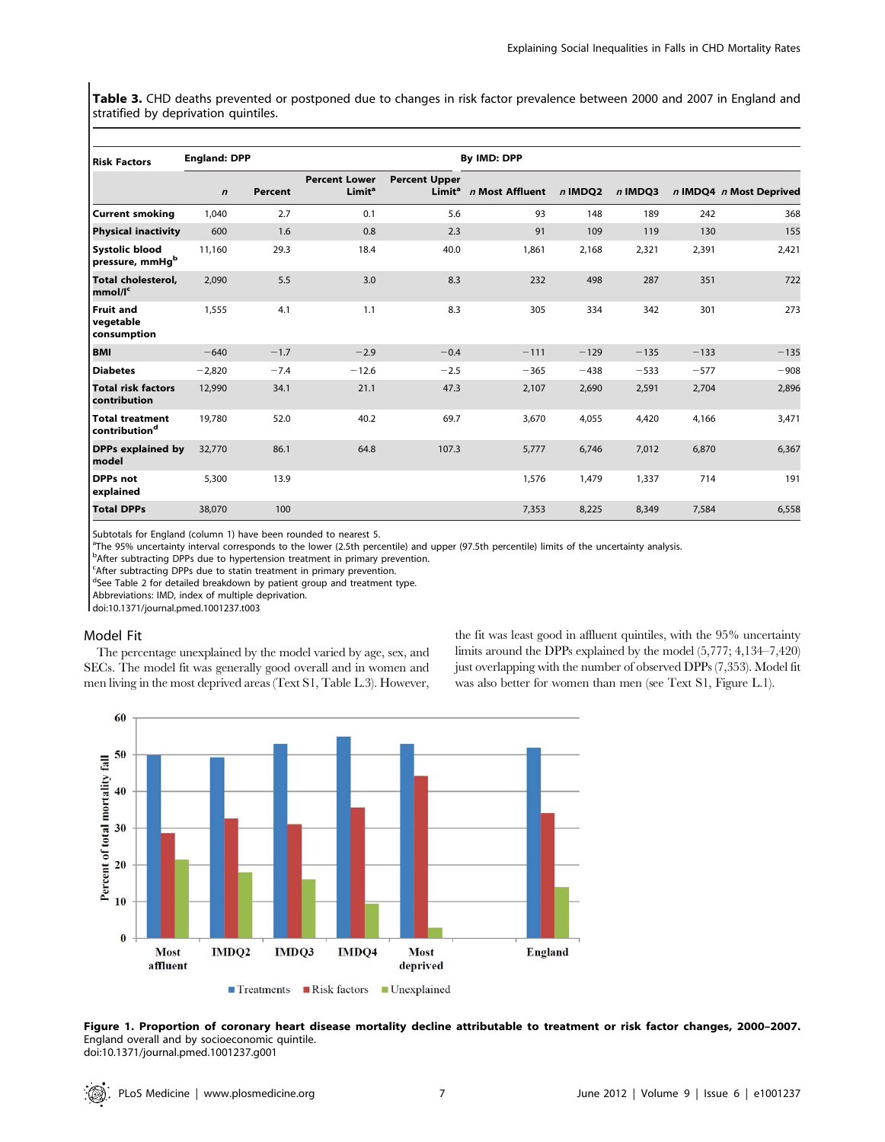Table 3. CHD deaths prevented or postponed due to changes in risk factor prevalence between 2000 and 2007 in England and stratified by deprivation quintiles.

| <b>Risk Factors</b>                                  | <b>England: DPP</b> |         |                                                  |                                                  | By IMD: DPP     |           |           |        |                         |
|------------------------------------------------------|---------------------|---------|--------------------------------------------------|--------------------------------------------------|-----------------|-----------|-----------|--------|-------------------------|
|                                                      | $\boldsymbol{n}$    | Percent | <b>Percent Lower</b><br><b>Limit<sup>a</sup></b> | <b>Percent Upper</b><br><b>Limit<sup>a</sup></b> | n Most Affluent | $n$ IMDQ2 | $n$ IMDQ3 |        | n IMDQ4 n Most Deprived |
| <b>Current smoking</b>                               | 1,040               | 2.7     | 0.1                                              | 5.6                                              | 93              | 148       | 189       | 242    | 368                     |
| <b>Physical inactivity</b>                           | 600                 | 1.6     | 0.8                                              | 2.3                                              | 91              | 109       | 119       | 130    | 155                     |
| <b>Systolic blood</b><br>pressure, mmHg <sup>b</sup> | 11,160              | 29.3    | 18.4                                             | 40.0                                             | 1,861           | 2,168     | 2,321     | 2,391  | 2,421                   |
| Total cholesterol,<br>mmol/I <sup>c</sup>            | 2,090               | 5.5     | 3.0                                              | 8.3                                              | 232             | 498       | 287       | 351    | 722                     |
| <b>Fruit and</b><br>vegetable<br>consumption         | 1,555               | 4.1     | 1.1                                              | 8.3                                              | 305             | 334       | 342       | 301    | 273                     |
| <b>BMI</b>                                           | $-640$              | $-1.7$  | $-2.9$                                           | $-0.4$                                           | $-111$          | $-129$    | $-135$    | $-133$ | $-135$                  |
| <b>Diabetes</b>                                      | $-2,820$            | $-7.4$  | $-12.6$                                          | $-2.5$                                           | $-365$          | $-438$    | $-533$    | $-577$ | $-908$                  |
| <b>Total risk factors</b><br>contribution            | 12,990              | 34.1    | 21.1                                             | 47.3                                             | 2,107           | 2,690     | 2,591     | 2,704  | 2,896                   |
| <b>Total treatment</b><br>contribution <sup>d</sup>  | 19,780              | 52.0    | 40.2                                             | 69.7                                             | 3,670           | 4,055     | 4,420     | 4,166  | 3,471                   |
| <b>DPPs explained by</b><br>model                    | 32,770              | 86.1    | 64.8                                             | 107.3                                            | 5,777           | 6,746     | 7,012     | 6,870  | 6,367                   |
| <b>DPPs</b> not<br>explained                         | 5,300               | 13.9    |                                                  |                                                  | 1,576           | 1,479     | 1,337     | 714    | 191                     |
| <b>Total DPPs</b>                                    | 38,070              | 100     |                                                  |                                                  | 7,353           | 8,225     | 8,349     | 7,584  | 6,558                   |

Subtotals for England (column 1) have been rounded to nearest 5.

a The 95% uncertainty interval corresponds to the lower (2.5th percentile) and upper (97.5th percentile) limits of the uncertainty analysis.

**b**After subtracting DPPs due to hypertension treatment in primary prevention.

<sup>c</sup>After subtracting DPPs due to statin treatment in primary prevention.

<sup>d</sup>See Table 2 for detailed breakdown by patient group and treatment type.

Abbreviations: IMD, index of multiple deprivation.

doi:10.1371/journal.pmed.1001237.t003

# Model Fit

The percentage unexplained by the model varied by age, sex, and SECs. The model fit was generally good overall and in women and men living in the most deprived areas (Text S1, Table L.3). However, the fit was least good in affluent quintiles, with the 95% uncertainty limits around the DPPs explained by the model (5,777; 4,134–7,420) just overlapping with the number of observed DPPs (7,353). Model fit was also better for women than men (see Text S1, Figure L.1).



Figure 1. Proportion of coronary heart disease mortality decline attributable to treatment or risk factor changes, 2000–2007. England overall and by socioeconomic quintile. doi:10.1371/journal.pmed.1001237.g001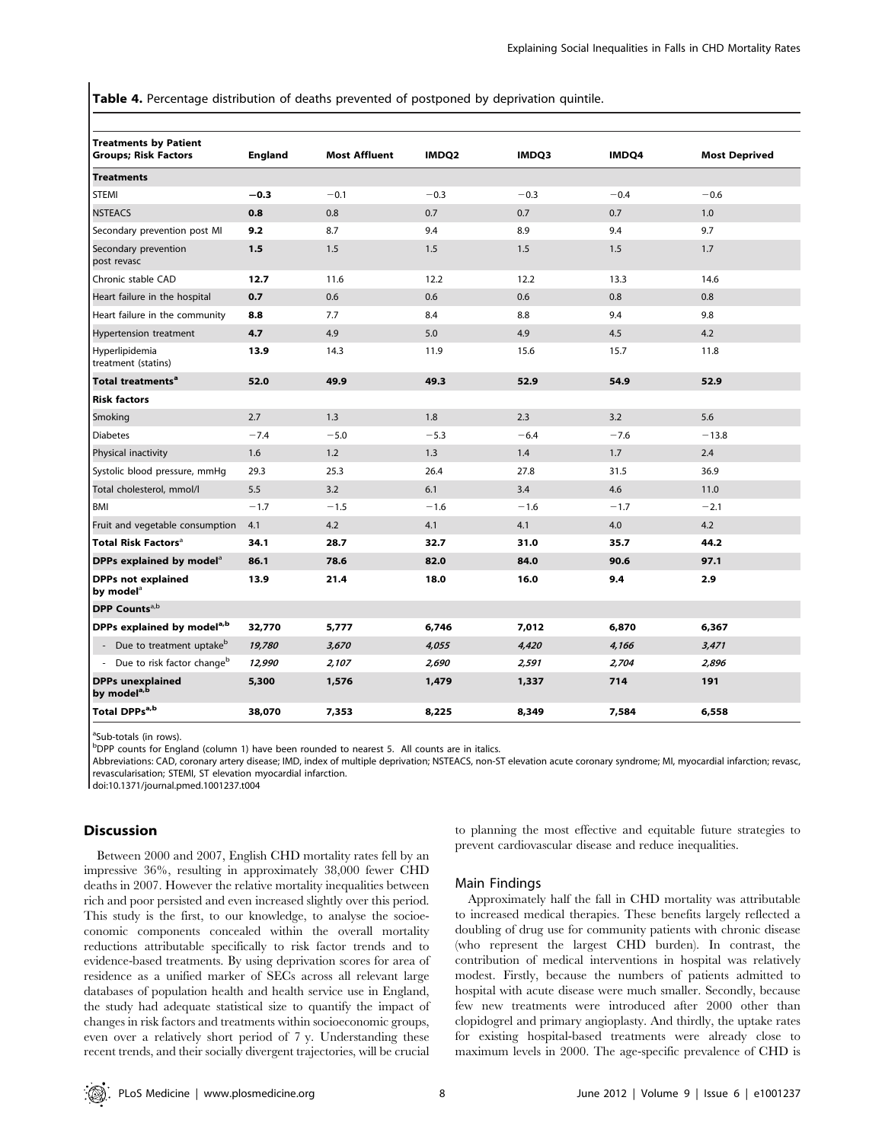Table 4. Percentage distribution of deaths prevented of postponed by deprivation quintile.

| <b>Treatments by Patient</b><br><b>Groups; Risk Factors</b> | <b>England</b> | <b>Most Affluent</b> | IMDQ2  | IMDQ3  | IMDQ4  | <b>Most Deprived</b> |
|-------------------------------------------------------------|----------------|----------------------|--------|--------|--------|----------------------|
| <b>Treatments</b>                                           |                |                      |        |        |        |                      |
|                                                             |                |                      |        |        |        | $-0.6$               |
| <b>STEMI</b>                                                | $-0.3$         | $-0.1$               | $-0.3$ | $-0.3$ | $-0.4$ |                      |
| <b>NSTEACS</b>                                              | 0.8            | 0.8                  | 0.7    | 0.7    | 0.7    | 1.0                  |
| Secondary prevention post MI                                | 9.2            | 8.7                  | 9.4    | 8.9    | 9.4    | 9.7                  |
| Secondary prevention<br>post revasc                         | 1.5            | 1.5                  | 1.5    | 1.5    | 1.5    | 1.7                  |
| Chronic stable CAD                                          | 12.7           | 11.6                 | 12.2   | 12.2   | 13.3   | 14.6                 |
| Heart failure in the hospital                               | 0.7            | 0.6                  | 0.6    | 0.6    | 0.8    | 0.8                  |
| Heart failure in the community                              | 8.8            | 7.7                  | 8.4    | 8.8    | 9.4    | 9.8                  |
| <b>Hypertension treatment</b>                               | 4.7            | 4.9                  | 5.0    | 4.9    | 4.5    | 4.2                  |
| Hyperlipidemia<br>treatment (statins)                       | 13.9           | 14.3                 | 11.9   | 15.6   | 15.7   | 11.8                 |
| Total treatments <sup>a</sup>                               | 52.0           | 49.9                 | 49.3   | 52.9   | 54.9   | 52.9                 |
| <b>Risk factors</b>                                         |                |                      |        |        |        |                      |
| Smoking                                                     | 2.7            | 1.3                  | 1.8    | 2.3    | 3.2    | 5.6                  |
| Diabetes                                                    | $-7.4$         | $-5.0$               | $-5.3$ | $-6.4$ | $-7.6$ | $-13.8$              |
| Physical inactivity                                         | 1.6            | 1.2                  | 1.3    | 1.4    | 1.7    | 2.4                  |
| Systolic blood pressure, mmHq                               | 29.3           | 25.3                 | 26.4   | 27.8   | 31.5   | 36.9                 |
| Total cholesterol, mmol/l                                   | 5.5            | 3.2                  | 6.1    | 3.4    | 4.6    | 11.0                 |
| BMI                                                         | $-1.7$         | $-1.5$               | $-1.6$ | $-1.6$ | $-1.7$ | $-2.1$               |
| Fruit and vegetable consumption                             | 4.1            | 4.2                  | 4.1    | 4.1    | 4.0    | 4.2                  |
| Total Risk Factors <sup>a</sup>                             | 34.1           | 28.7                 | 32.7   | 31.0   | 35.7   | 44.2                 |
| DPPs explained by model <sup>®</sup>                        | 86.1           | 78.6                 | 82.0   | 84.0   | 90.6   | 97.1                 |
| <b>DPPs not explained</b><br>by model <sup>a</sup>          | 13.9           | 21.4                 | 18.0   | 16.0   | 9.4    | 2.9                  |
| DPP Counts <sup>a,b</sup>                                   |                |                      |        |        |        |                      |
| DPPs explained by model <sup>a,b</sup>                      | 32,770         | 5,777                | 6,746  | 7,012  | 6,870  | 6,367                |
| - Due to treatment uptake <sup>b</sup>                      | 19,780         | 3,670                | 4,055  | 4,420  | 4,166  | 3,471                |
| - Due to risk factor change <sup>b</sup>                    | 12,990         | 2,107                | 2,690  | 2,591  | 2,704  | 2,896                |
| <b>DPPs unexplained</b><br>by model <sup>a,b</sup>          | 5,300          | 1,576                | 1,479  | 1,337  | 714    | 191                  |
| Total DPPs <sup>a,b</sup>                                   | 38,070         | 7,353                | 8,225  | 8,349  | 7,584  | 6,558                |

<sup>a</sup>Sub-totals (in rows).

<sup>b</sup>DPP counts for England (column 1) have been rounded to nearest 5. All counts are in italics.

Abbreviations: CAD, coronary artery disease; IMD, index of multiple deprivation; NSTEACS, non-ST elevation acute coronary syndrome; MI, myocardial infarction; revasc, revascularisation; STEMI, ST elevation myocardial infarction.

doi:10.1371/journal.pmed.1001237.t004

# Discussion

Between 2000 and 2007, English CHD mortality rates fell by an impressive 36%, resulting in approximately 38,000 fewer CHD deaths in 2007. However the relative mortality inequalities between rich and poor persisted and even increased slightly over this period. This study is the first, to our knowledge, to analyse the socioeconomic components concealed within the overall mortality reductions attributable specifically to risk factor trends and to evidence-based treatments. By using deprivation scores for area of residence as a unified marker of SECs across all relevant large databases of population health and health service use in England, the study had adequate statistical size to quantify the impact of changes in risk factors and treatments within socioeconomic groups, even over a relatively short period of 7 y. Understanding these recent trends, and their socially divergent trajectories, will be crucial to planning the most effective and equitable future strategies to prevent cardiovascular disease and reduce inequalities.

### Main Findings

Approximately half the fall in CHD mortality was attributable to increased medical therapies. These benefits largely reflected a doubling of drug use for community patients with chronic disease (who represent the largest CHD burden). In contrast, the contribution of medical interventions in hospital was relatively modest. Firstly, because the numbers of patients admitted to hospital with acute disease were much smaller. Secondly, because few new treatments were introduced after 2000 other than clopidogrel and primary angioplasty. And thirdly, the uptake rates for existing hospital-based treatments were already close to maximum levels in 2000. The age-specific prevalence of CHD is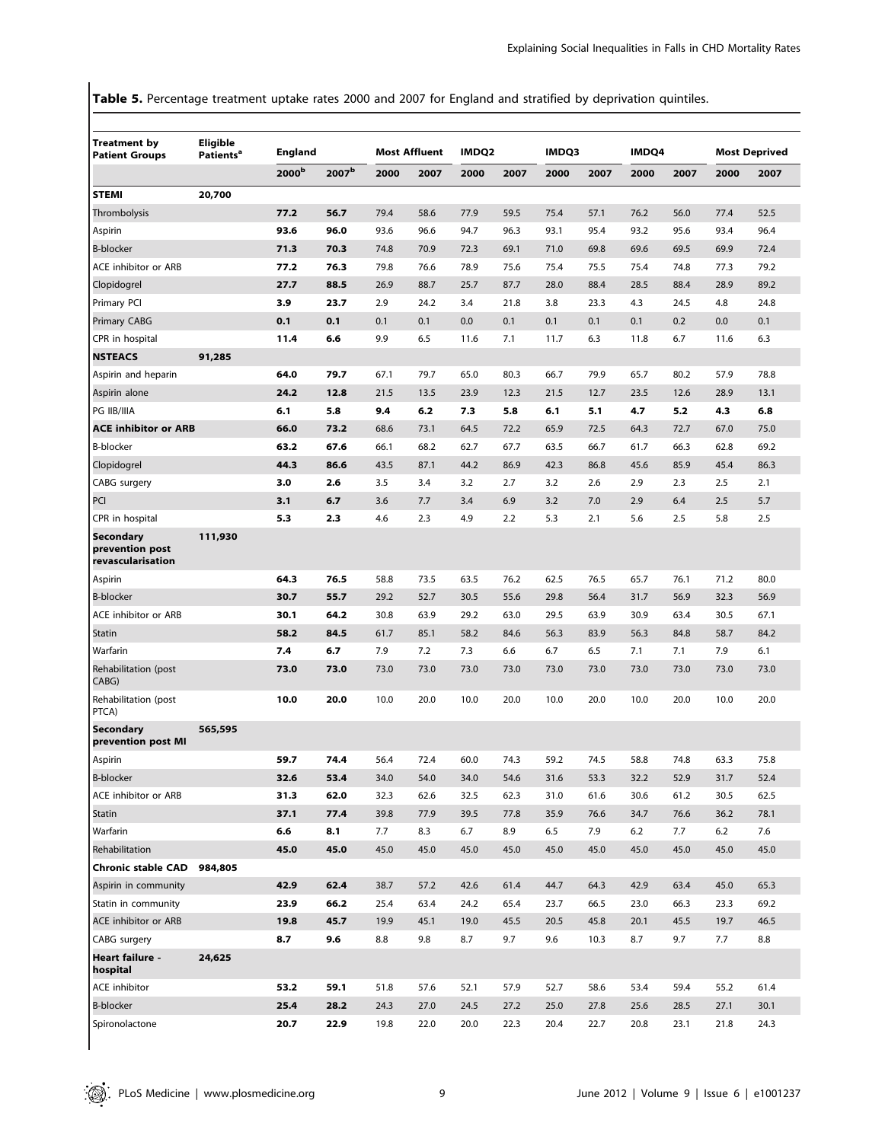Table 5. Percentage treatment uptake rates 2000 and 2007 for England and stratified by deprivation quintiles.

| Treatment by<br><b>Patient Groups</b>             | Eligible<br><b>Patients<sup>a</sup></b> | <b>England</b>    |                   |      | <b>Most Affluent</b> | IMDQ2 |      | IMDQ3 |      | IMDQ4 |      |      | <b>Most Deprived</b> |
|---------------------------------------------------|-----------------------------------------|-------------------|-------------------|------|----------------------|-------|------|-------|------|-------|------|------|----------------------|
|                                                   |                                         | 2000 <sup>b</sup> | 2007 <sup>b</sup> | 2000 | 2007                 | 2000  | 2007 | 2000  | 2007 | 2000  | 2007 | 2000 | 2007                 |
| <b>STEMI</b>                                      | 20,700                                  |                   |                   |      |                      |       |      |       |      |       |      |      |                      |
| Thrombolysis                                      |                                         | 77.2              | 56.7              | 79.4 | 58.6                 | 77.9  | 59.5 | 75.4  | 57.1 | 76.2  | 56.0 | 77.4 | 52.5                 |
| Aspirin                                           |                                         | 93.6              | 96.0              | 93.6 | 96.6                 | 94.7  | 96.3 | 93.1  | 95.4 | 93.2  | 95.6 | 93.4 | 96.4                 |
| <b>B-blocker</b>                                  |                                         | 71.3              | 70.3              | 74.8 | 70.9                 | 72.3  | 69.1 | 71.0  | 69.8 | 69.6  | 69.5 | 69.9 | 72.4                 |
| ACE inhibitor or ARB                              |                                         | 77.2              | 76.3              | 79.8 | 76.6                 | 78.9  | 75.6 | 75.4  | 75.5 | 75.4  | 74.8 | 77.3 | 79.2                 |
| Clopidogrel                                       |                                         | 27.7              | 88.5              | 26.9 | 88.7                 | 25.7  | 87.7 | 28.0  | 88.4 | 28.5  | 88.4 | 28.9 | 89.2                 |
| Primary PCI                                       |                                         | 3.9               | 23.7              | 2.9  | 24.2                 | 3.4   | 21.8 | 3.8   | 23.3 | 4.3   | 24.5 | 4.8  | 24.8                 |
| Primary CABG                                      |                                         | 0.1               | 0.1               | 0.1  | 0.1                  | 0.0   | 0.1  | 0.1   | 0.1  | 0.1   | 0.2  | 0.0  | 0.1                  |
| CPR in hospital                                   |                                         | 11.4              | 6.6               | 9.9  | 6.5                  | 11.6  | 7.1  | 11.7  | 6.3  | 11.8  | 6.7  | 11.6 | 6.3                  |
| <b>NSTEACS</b>                                    | 91,285                                  |                   |                   |      |                      |       |      |       |      |       |      |      |                      |
| Aspirin and heparin                               |                                         | 64.0              | 79.7              | 67.1 | 79.7                 | 65.0  | 80.3 | 66.7  | 79.9 | 65.7  | 80.2 | 57.9 | 78.8                 |
| Aspirin alone                                     |                                         | 24.2              | 12.8              | 21.5 | 13.5                 | 23.9  | 12.3 | 21.5  | 12.7 | 23.5  | 12.6 | 28.9 | 13.1                 |
| PG IIB/IIIA                                       |                                         | 6.1               | 5.8               | 9.4  | 6.2                  | 7.3   | 5.8  | 6.1   | 5.1  | 4.7   | 5.2  | 4.3  | 6.8                  |
| <b>ACE inhibitor or ARB</b>                       |                                         | 66.0              | 73.2              | 68.6 | 73.1                 | 64.5  | 72.2 | 65.9  | 72.5 | 64.3  | 72.7 | 67.0 | 75.0                 |
| <b>B-blocker</b>                                  |                                         | 63.2              | 67.6              | 66.1 | 68.2                 | 62.7  | 67.7 | 63.5  | 66.7 | 61.7  | 66.3 | 62.8 | 69.2                 |
| Clopidogrel                                       |                                         | 44.3              | 86.6              | 43.5 | 87.1                 | 44.2  | 86.9 | 42.3  | 86.8 | 45.6  | 85.9 | 45.4 | 86.3                 |
| CABG surgery                                      |                                         | 3.0               | 2.6               | 3.5  | 3.4                  | 3.2   | 2.7  | 3.2   | 2.6  | 2.9   | 2.3  | 2.5  | 2.1                  |
| PCI                                               |                                         | 3.1               | 6.7               | 3.6  | 7.7                  | 3.4   | 6.9  | 3.2   | 7.0  | 2.9   | 6.4  | 2.5  | 5.7                  |
| CPR in hospital                                   |                                         | 5.3               | 2.3               | 4.6  | 2.3                  | 4.9   | 2.2  | 5.3   | 2.1  | 5.6   | 2.5  | 5.8  | 2.5                  |
| Secondary<br>prevention post<br>revascularisation | 111,930                                 |                   |                   |      |                      |       |      |       |      |       |      |      |                      |
| Aspirin                                           |                                         | 64.3              | 76.5              | 58.8 | 73.5                 | 63.5  | 76.2 | 62.5  | 76.5 | 65.7  | 76.1 | 71.2 | 80.0                 |
| <b>B-blocker</b>                                  |                                         | 30.7              | 55.7              | 29.2 | 52.7                 | 30.5  | 55.6 | 29.8  | 56.4 | 31.7  | 56.9 | 32.3 | 56.9                 |
| ACE inhibitor or ARB                              |                                         | 30.1              | 64.2              | 30.8 | 63.9                 | 29.2  | 63.0 | 29.5  | 63.9 | 30.9  | 63.4 | 30.5 | 67.1                 |
| Statin                                            |                                         | 58.2              | 84.5              | 61.7 | 85.1                 | 58.2  | 84.6 | 56.3  | 83.9 | 56.3  | 84.8 | 58.7 | 84.2                 |
| Warfarin                                          |                                         | 7.4               | 6.7               | 7.9  | 7.2                  | 7.3   | 6.6  | 6.7   | 6.5  | 7.1   | 7.1  | 7.9  | 6.1                  |
| Rehabilitation (post<br>CABG)                     |                                         | 73.0              | 73.0              | 73.0 | 73.0                 | 73.0  | 73.0 | 73.0  | 73.0 | 73.0  | 73.0 | 73.0 | 73.0                 |
| Rehabilitation (post<br>PTCA)                     |                                         | 10.0              | 20.0              | 10.0 | 20.0                 | 10.0  | 20.0 | 10.0  | 20.0 | 10.0  | 20.0 | 10.0 | 20.0                 |
| Secondary<br>prevention post MI                   | 565,595                                 |                   |                   |      |                      |       |      |       |      |       |      |      |                      |
| Aspirin                                           |                                         | 59.7              | 74.4              | 56.4 | 72.4                 | 60.0  | 74.3 | 59.2  | 74.5 | 58.8  | 74.8 | 63.3 | 75.8                 |
| <b>B-blocker</b>                                  |                                         | 32.6              | 53.4              | 34.0 | 54.0                 | 34.0  | 54.6 | 31.6  | 53.3 | 32.2  | 52.9 | 31.7 | 52.4                 |
| ACE inhibitor or ARB                              |                                         | 31.3              | 62.0              | 32.3 | 62.6                 | 32.5  | 62.3 | 31.0  | 61.6 | 30.6  | 61.2 | 30.5 | 62.5                 |
| Statin                                            |                                         | 37.1              | 77.4              | 39.8 | 77.9                 | 39.5  | 77.8 | 35.9  | 76.6 | 34.7  | 76.6 | 36.2 | 78.1                 |
| Warfarin                                          |                                         | 6.6               | 8.1               | 7.7  | 8.3                  | 6.7   | 8.9  | 6.5   | 7.9  | 6.2   | 7.7  | 6.2  | 7.6                  |
| Rehabilitation                                    |                                         | 45.0              | 45.0              | 45.0 | 45.0                 | 45.0  | 45.0 | 45.0  | 45.0 | 45.0  | 45.0 | 45.0 | 45.0                 |
| <b>Chronic stable CAD</b>                         | 984,805                                 |                   |                   |      |                      |       |      |       |      |       |      |      |                      |
| Aspirin in community                              |                                         | 42.9              | 62.4              | 38.7 | 57.2                 | 42.6  | 61.4 | 44.7  | 64.3 | 42.9  | 63.4 | 45.0 | 65.3                 |
| Statin in community                               |                                         | 23.9              | 66.2              | 25.4 | 63.4                 | 24.2  | 65.4 | 23.7  | 66.5 | 23.0  | 66.3 | 23.3 | 69.2                 |
| ACE inhibitor or ARB                              |                                         | 19.8              | 45.7              | 19.9 | 45.1                 | 19.0  | 45.5 | 20.5  | 45.8 | 20.1  | 45.5 | 19.7 | 46.5                 |
| CABG surgery<br>Heart failure -                   | 24,625                                  | 8.7               | 9.6               | 8.8  | 9.8                  | 8.7   | 9.7  | 9.6   | 10.3 | 8.7   | 9.7  | 7.7  | 8.8                  |
| hospital                                          |                                         |                   |                   |      |                      |       |      |       |      |       |      |      |                      |
| <b>ACE</b> inhibitor                              |                                         | 53.2              | 59.1              | 51.8 | 57.6                 | 52.1  | 57.9 | 52.7  | 58.6 | 53.4  | 59.4 | 55.2 | 61.4                 |
| <b>B-blocker</b>                                  |                                         | 25.4              | 28.2              | 24.3 | 27.0                 | 24.5  | 27.2 | 25.0  | 27.8 | 25.6  | 28.5 | 27.1 | 30.1                 |
| Spironolactone                                    |                                         | 20.7              | 22.9              | 19.8 | 22.0                 | 20.0  | 22.3 | 20.4  | 22.7 | 20.8  | 23.1 | 21.8 | 24.3                 |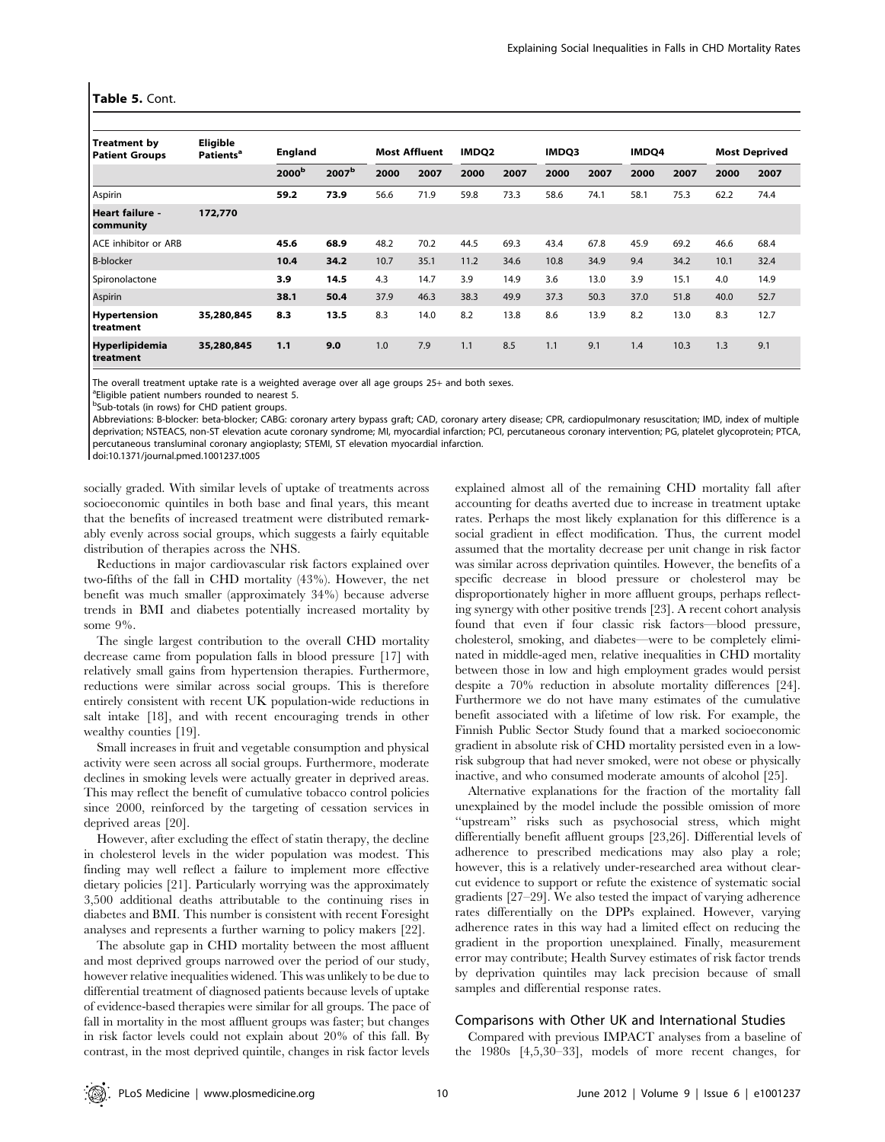#### Table 5. Cont.

| Treatment by<br><b>Patient Groups</b> | Eligible<br><b>Patients<sup>a</sup></b> | England           |                   |      | <b>Most Affluent</b> | IMDQ2 |      | IMDQ3 |      | IMDQ4 |      |      | <b>Most Deprived</b> |
|---------------------------------------|-----------------------------------------|-------------------|-------------------|------|----------------------|-------|------|-------|------|-------|------|------|----------------------|
|                                       |                                         | 2000 <sup>b</sup> | 2007 <sup>b</sup> | 2000 | 2007                 | 2000  | 2007 | 2000  | 2007 | 2000  | 2007 | 2000 | 2007                 |
| Aspirin                               |                                         | 59.2              | 73.9              | 56.6 | 71.9                 | 59.8  | 73.3 | 58.6  | 74.1 | 58.1  | 75.3 | 62.2 | 74.4                 |
| Heart failure -<br>community          | 172,770                                 |                   |                   |      |                      |       |      |       |      |       |      |      |                      |
| <b>ACE</b> inhibitor or ARB           |                                         | 45.6              | 68.9              | 48.2 | 70.2                 | 44.5  | 69.3 | 43.4  | 67.8 | 45.9  | 69.2 | 46.6 | 68.4                 |
| <b>B-blocker</b>                      |                                         | 10.4              | 34.2              | 10.7 | 35.1                 | 11.2  | 34.6 | 10.8  | 34.9 | 9.4   | 34.2 | 10.1 | 32.4                 |
| Spironolactone                        |                                         | 3.9               | 14.5              | 4.3  | 14.7                 | 3.9   | 14.9 | 3.6   | 13.0 | 3.9   | 15.1 | 4.0  | 14.9                 |
| Aspirin                               |                                         | 38.1              | 50.4              | 37.9 | 46.3                 | 38.3  | 49.9 | 37.3  | 50.3 | 37.0  | 51.8 | 40.0 | 52.7                 |
| Hypertension<br>l treatment           | 35,280,845                              | 8.3               | 13.5              | 8.3  | 14.0                 | 8.2   | 13.8 | 8.6   | 13.9 | 8.2   | 13.0 | 8.3  | 12.7                 |
| Hyperlipidemia<br>l treatment         | 35,280,845                              | 1.1               | 9.0               | 1.0  | 7.9                  | 1.1   | 8.5  | 1.1   | 9.1  | 1.4   | 10.3 | 1.3  | 9.1                  |

The overall treatment uptake rate is a weighted average over all age groups 25+ and both sexes.

<sup>a</sup> Eligible patient numbers rounded to nearest 5.

<sup>b</sup>Sub-totals (in rows) for CHD patient groups.

Abbreviations: B-blocker: beta-blocker; CABG: coronary artery bypass graft; CAD, coronary artery disease; CPR, cardiopulmonary resuscitation; IMD, index of multiple deprivation; NSTEACS, non-ST elevation acute coronary syndrome; MI, myocardial infarction; PCI, percutaneous coronary intervention; PG, platelet glycoprotein; PTCA, percutaneous transluminal coronary angioplasty; STEMI, ST elevation myocardial infarction.

doi:10.1371/journal.pmed.1001237.t005

socially graded. With similar levels of uptake of treatments across socioeconomic quintiles in both base and final years, this meant that the benefits of increased treatment were distributed remarkably evenly across social groups, which suggests a fairly equitable distribution of therapies across the NHS.

Reductions in major cardiovascular risk factors explained over two-fifths of the fall in CHD mortality (43%). However, the net benefit was much smaller (approximately 34%) because adverse trends in BMI and diabetes potentially increased mortality by some 9%.

The single largest contribution to the overall CHD mortality decrease came from population falls in blood pressure [17] with relatively small gains from hypertension therapies. Furthermore, reductions were similar across social groups. This is therefore entirely consistent with recent UK population-wide reductions in salt intake [18], and with recent encouraging trends in other wealthy counties [19].

Small increases in fruit and vegetable consumption and physical activity were seen across all social groups. Furthermore, moderate declines in smoking levels were actually greater in deprived areas. This may reflect the benefit of cumulative tobacco control policies since 2000, reinforced by the targeting of cessation services in deprived areas [20].

However, after excluding the effect of statin therapy, the decline in cholesterol levels in the wider population was modest. This finding may well reflect a failure to implement more effective dietary policies [21]. Particularly worrying was the approximately 3,500 additional deaths attributable to the continuing rises in diabetes and BMI. This number is consistent with recent Foresight analyses and represents a further warning to policy makers [22].

The absolute gap in CHD mortality between the most affluent and most deprived groups narrowed over the period of our study, however relative inequalities widened. This was unlikely to be due to differential treatment of diagnosed patients because levels of uptake of evidence-based therapies were similar for all groups. The pace of fall in mortality in the most affluent groups was faster; but changes in risk factor levels could not explain about 20% of this fall. By contrast, in the most deprived quintile, changes in risk factor levels

explained almost all of the remaining CHD mortality fall after accounting for deaths averted due to increase in treatment uptake rates. Perhaps the most likely explanation for this difference is a social gradient in effect modification. Thus, the current model assumed that the mortality decrease per unit change in risk factor was similar across deprivation quintiles. However, the benefits of a specific decrease in blood pressure or cholesterol may be disproportionately higher in more affluent groups, perhaps reflecting synergy with other positive trends [23]. A recent cohort analysis found that even if four classic risk factors—blood pressure, cholesterol, smoking, and diabetes—were to be completely eliminated in middle-aged men, relative inequalities in CHD mortality between those in low and high employment grades would persist despite a 70% reduction in absolute mortality differences [24]. Furthermore we do not have many estimates of the cumulative benefit associated with a lifetime of low risk. For example, the Finnish Public Sector Study found that a marked socioeconomic gradient in absolute risk of CHD mortality persisted even in a lowrisk subgroup that had never smoked, were not obese or physically inactive, and who consumed moderate amounts of alcohol [25].

Alternative explanations for the fraction of the mortality fall unexplained by the model include the possible omission of more ''upstream'' risks such as psychosocial stress, which might differentially benefit affluent groups [23,26]. Differential levels of adherence to prescribed medications may also play a role; however, this is a relatively under-researched area without clearcut evidence to support or refute the existence of systematic social gradients [27–29]. We also tested the impact of varying adherence rates differentially on the DPPs explained. However, varying adherence rates in this way had a limited effect on reducing the gradient in the proportion unexplained. Finally, measurement error may contribute; Health Survey estimates of risk factor trends by deprivation quintiles may lack precision because of small samples and differential response rates.

### Comparisons with Other UK and International Studies

Compared with previous IMPACT analyses from a baseline of the 1980s [4,5,30–33], models of more recent changes, for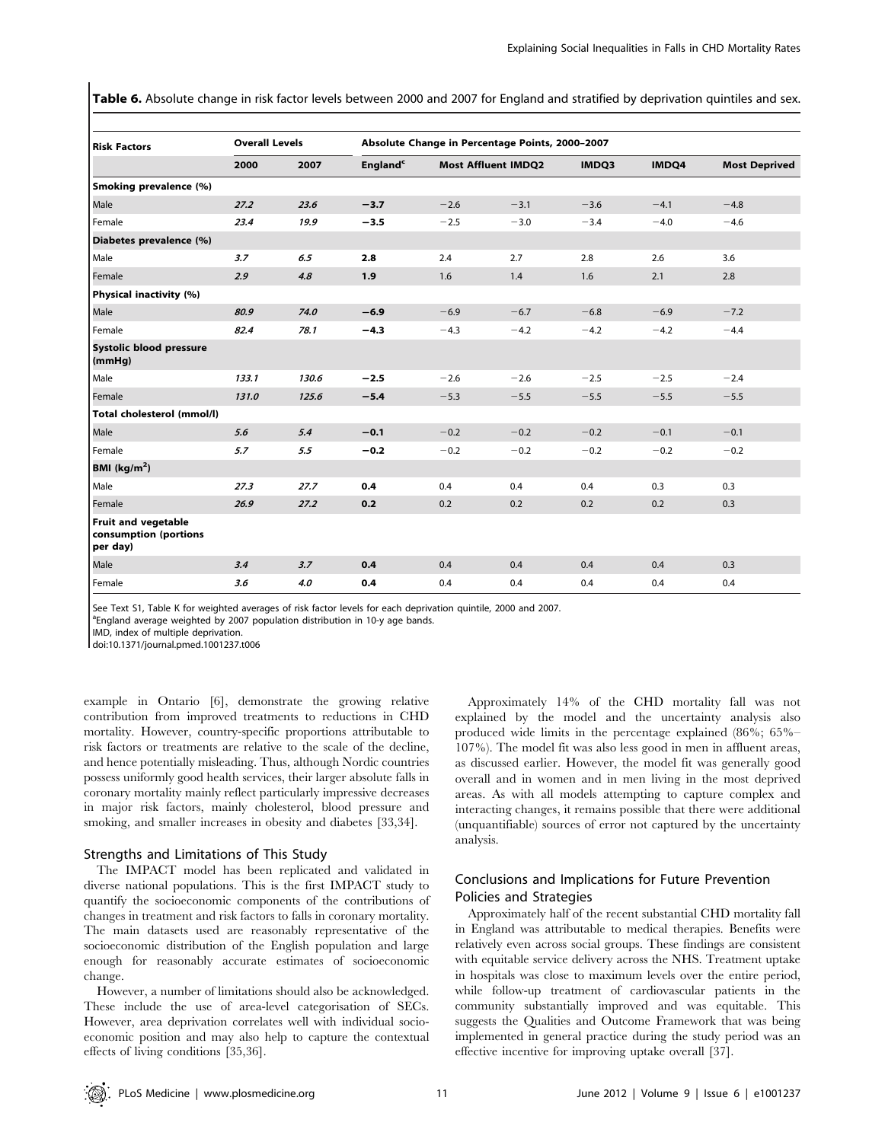Table 6. Absolute change in risk factor levels between 2000 and 2007 for England and stratified by deprivation quintiles and sex.

| <b>Risk Factors</b>                                             | <b>Overall Levels</b> |       |                            |        | Absolute Change in Percentage Points, 2000-2007 |        |        |                      |
|-----------------------------------------------------------------|-----------------------|-------|----------------------------|--------|-------------------------------------------------|--------|--------|----------------------|
|                                                                 | 2000                  | 2007  | <b>England<sup>c</sup></b> |        | <b>Most Affluent IMDQ2</b>                      | IMDQ3  | IMDQ4  | <b>Most Deprived</b> |
| Smoking prevalence (%)                                          |                       |       |                            |        |                                                 |        |        |                      |
| Male                                                            | 27.2                  | 23.6  | $-3.7$                     | $-2.6$ | $-3.1$                                          | $-3.6$ | $-4.1$ | $-4.8$               |
| Female                                                          | 23.4                  | 19.9  | $-3.5$                     | $-2.5$ | $-3.0$                                          | $-3.4$ | $-4.0$ | $-4.6$               |
| Diabetes prevalence (%)                                         |                       |       |                            |        |                                                 |        |        |                      |
| Male                                                            | 3.7                   | 6.5   | 2.8                        | 2.4    | 2.7                                             | 2.8    | 2.6    | 3.6                  |
| Female                                                          | 2.9                   | 4.8   | 1.9                        | 1.6    | 1.4                                             | 1.6    | 2.1    | 2.8                  |
| Physical inactivity (%)                                         |                       |       |                            |        |                                                 |        |        |                      |
| Male                                                            | 80.9                  | 74.0  | $-6.9$                     | $-6.9$ | $-6.7$                                          | $-6.8$ | $-6.9$ | $-7.2$               |
| Female                                                          | 82.4                  | 78.1  | $-4.3$                     | $-4.3$ | $-4.2$                                          | $-4.2$ | $-4.2$ | $-4.4$               |
| Systolic blood pressure<br>(mmHg)                               |                       |       |                            |        |                                                 |        |        |                      |
| Male                                                            | 133.1                 | 130.6 | $-2.5$                     | $-2.6$ | $-2.6$                                          | $-2.5$ | $-2.5$ | $-2.4$               |
| Female                                                          | 131.0                 | 125.6 | $-5.4$                     | $-5.3$ | $-5.5$                                          | $-5.5$ | $-5.5$ | $-5.5$               |
| Total cholesterol (mmol/l)                                      |                       |       |                            |        |                                                 |        |        |                      |
| Male                                                            | 5.6                   | 5.4   | $-0.1$                     | $-0.2$ | $-0.2$                                          | $-0.2$ | $-0.1$ | $-0.1$               |
| Female                                                          | 5.7                   | 5.5   | $-0.2$                     | $-0.2$ | $-0.2$                                          | $-0.2$ | $-0.2$ | $-0.2$               |
| BMI ( $kg/m2$ )                                                 |                       |       |                            |        |                                                 |        |        |                      |
| Male                                                            | 27.3                  | 27.7  | 0.4                        | 0.4    | 0.4                                             | 0.4    | 0.3    | 0.3                  |
| Female                                                          | 26.9                  | 27.2  | 0.2                        | 0.2    | 0.2                                             | 0.2    | 0.2    | 0.3                  |
| <b>Fruit and vegetable</b><br>consumption (portions<br>per day) |                       |       |                            |        |                                                 |        |        |                      |
| Male                                                            | 3.4                   | 3.7   | 0.4                        | 0.4    | 0.4                                             | 0.4    | 0.4    | 0.3                  |
| Female                                                          | 3.6                   | 4.0   | 0.4                        | 0.4    | 0.4                                             | 0.4    | 0.4    | 0.4                  |

See Text S1, Table K for weighted averages of risk factor levels for each deprivation quintile, 2000 and 2007.

<sup>a</sup> England average weighted by 2007 population distribution in 10-y age bands.

IMD, index of multiple deprivation.

doi:10.1371/journal.pmed.1001237.t006

example in Ontario [6], demonstrate the growing relative contribution from improved treatments to reductions in CHD mortality. However, country-specific proportions attributable to risk factors or treatments are relative to the scale of the decline, and hence potentially misleading. Thus, although Nordic countries possess uniformly good health services, their larger absolute falls in coronary mortality mainly reflect particularly impressive decreases in major risk factors, mainly cholesterol, blood pressure and smoking, and smaller increases in obesity and diabetes [33,34].

### Strengths and Limitations of This Study

The IMPACT model has been replicated and validated in diverse national populations. This is the first IMPACT study to quantify the socioeconomic components of the contributions of changes in treatment and risk factors to falls in coronary mortality. The main datasets used are reasonably representative of the socioeconomic distribution of the English population and large enough for reasonably accurate estimates of socioeconomic change.

However, a number of limitations should also be acknowledged. These include the use of area-level categorisation of SECs. However, area deprivation correlates well with individual socioeconomic position and may also help to capture the contextual effects of living conditions [35,36].

Approximately 14% of the CHD mortality fall was not explained by the model and the uncertainty analysis also produced wide limits in the percentage explained (86%; 65%– 107%). The model fit was also less good in men in affluent areas, as discussed earlier. However, the model fit was generally good overall and in women and in men living in the most deprived areas. As with all models attempting to capture complex and interacting changes, it remains possible that there were additional (unquantifiable) sources of error not captured by the uncertainty analysis.

# Conclusions and Implications for Future Prevention Policies and Strategies

Approximately half of the recent substantial CHD mortality fall in England was attributable to medical therapies. Benefits were relatively even across social groups. These findings are consistent with equitable service delivery across the NHS. Treatment uptake in hospitals was close to maximum levels over the entire period, while follow-up treatment of cardiovascular patients in the community substantially improved and was equitable. This suggests the Qualities and Outcome Framework that was being implemented in general practice during the study period was an effective incentive for improving uptake overall [37].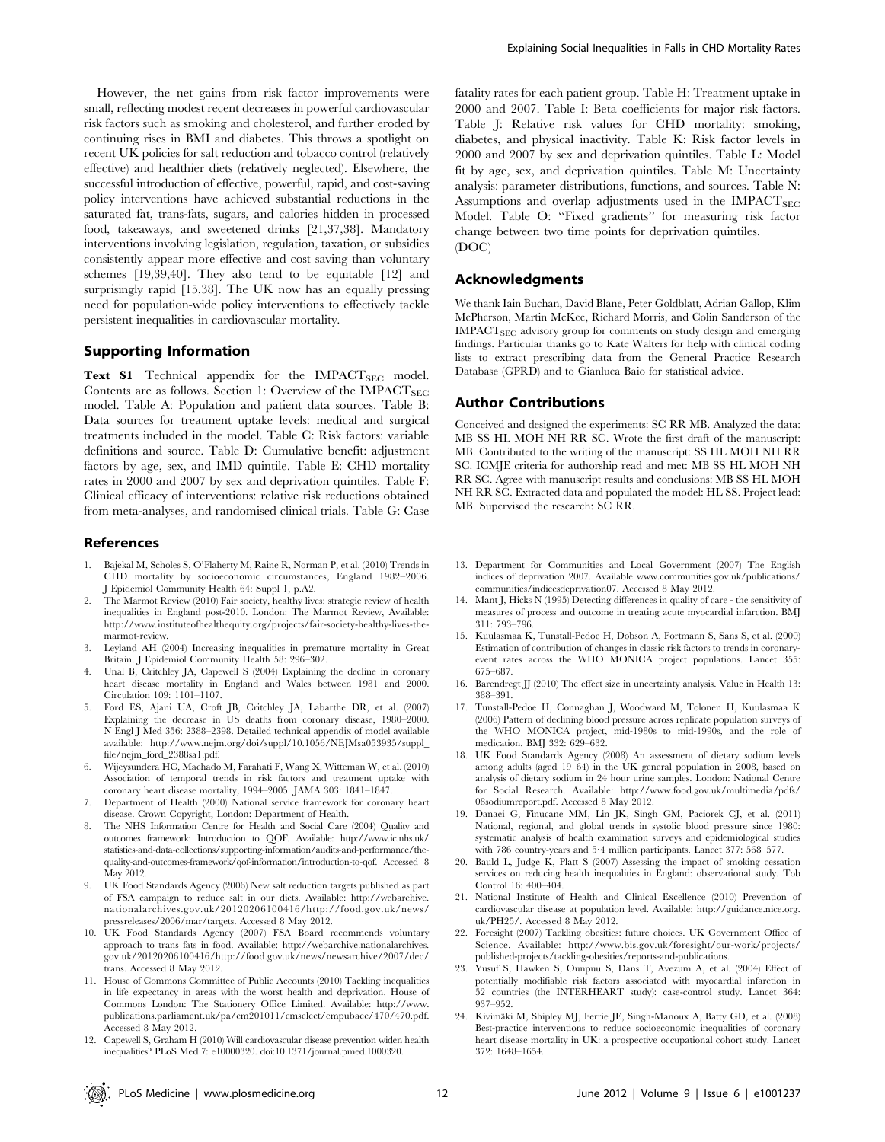However, the net gains from risk factor improvements were small, reflecting modest recent decreases in powerful cardiovascular risk factors such as smoking and cholesterol, and further eroded by continuing rises in BMI and diabetes. This throws a spotlight on recent UK policies for salt reduction and tobacco control (relatively effective) and healthier diets (relatively neglected). Elsewhere, the successful introduction of effective, powerful, rapid, and cost-saving policy interventions have achieved substantial reductions in the saturated fat, trans-fats, sugars, and calories hidden in processed food, takeaways, and sweetened drinks [21,37,38]. Mandatory interventions involving legislation, regulation, taxation, or subsidies consistently appear more effective and cost saving than voluntary schemes [19,39,40]. They also tend to be equitable [12] and surprisingly rapid [15,38]. The UK now has an equally pressing need for population-wide policy interventions to effectively tackle persistent inequalities in cardiovascular mortality.

# Supporting Information

**Text S1** Technical appendix for the  $IMPACT_{SEC}$  model. Contents are as follows. Section 1: Overview of the IMPACT $_{\rm{SEC}}$ model. Table A: Population and patient data sources. Table B: Data sources for treatment uptake levels: medical and surgical treatments included in the model. Table C: Risk factors: variable definitions and source. Table D: Cumulative benefit: adjustment factors by age, sex, and IMD quintile. Table E: CHD mortality rates in 2000 and 2007 by sex and deprivation quintiles. Table F: Clinical efficacy of interventions: relative risk reductions obtained from meta-analyses, and randomised clinical trials. Table G: Case

# References

- 1. Bajekal M, Scholes S, O'Flaherty M, Raine R, Norman P, et al. (2010) Trends in CHD mortality by socioeconomic circumstances, England 1982–2006. J Epidemiol Community Health 64: Suppl 1, p.A2.
- 2. The Marmot Review (2010) Fair society, healthy lives: strategic review of health inequalities in England post-2010. London: The Marmot Review, Available: http://www.instituteofhealthequity.org/projects/fair-society-healthy-lives-themarmot-review.
- 3. Leyland AH (2004) Increasing inequalities in premature mortality in Great Britain. J Epidemiol Community Health 58: 296–302.
- 4. Unal B, Critchley JA, Capewell S (2004) Explaining the decline in coronary heart disease mortality in England and Wales between 1981 and 2000. Circulation 109: 1101–1107.
- 5. Ford ES, Ajani UA, Croft JB, Critchley JA, Labarthe DR, et al. (2007) Explaining the decrease in US deaths from coronary disease, 1980–2000. N Engl J Med 356: 2388–2398. Detailed technical appendix of model available available: http://www.nejm.org/doi/suppl/10.1056/NEJMsa053935/suppl\_ file/neim\_ford\_2388sa1.pdf.
- 6. Wijeysundera HC, Machado M, Farahati F, Wang X, Witteman W, et al. (2010) Association of temporal trends in risk factors and treatment uptake with coronary heart disease mortality, 1994–2005. JAMA 303: 1841–1847.
- 7. Department of Health (2000) National service framework for coronary heart disease. Crown Copyright, London: Department of Health.
- 8. The NHS Information Centre for Health and Social Care (2004) Quality and outcomes framework: Introduction to QOF. Available: http://www.ic.nhs.uk/ statistics-and-data-collections/supporting-information/audits-and-performance/thequality-and-outcomes-framework/qof-information/introduction-to-qof. Accessed 8 May 2012.
- 9. UK Food Standards Agency (2006) New salt reduction targets published as part of FSA campaign to reduce salt in our diets. Available: http://webarchive. nationalarchives.gov.uk/20120206100416/http://food.gov.uk/news/ pressreleases/2006/mar/targets. Accessed 8 May 2012.
- 10. UK Food Standards Agency (2007) FSA Board recommends voluntary approach to trans fats in food. Available: http://webarchive.nationalarchives. gov.uk/20120206100416/http://food.gov.uk/news/newsarchive/2007/dec/ trans. Accessed 8 May 2012.
- 11. House of Commons Committee of Public Accounts (2010) Tackling inequalities in life expectancy in areas with the worst health and deprivation. House of Commons London: The Stationery Office Limited. Available: http://www. publications.parliament.uk/pa/cm201011/cmselect/cmpubacc/470/470.pdf. Accessed 8 May 2012.
- 12. Capewell S, Graham H (2010) Will cardiovascular disease prevention widen health inequalities? PLoS Med 7: e10000320. doi:10.1371/journal.pmed.1000320.

fatality rates for each patient group. Table H: Treatment uptake in 2000 and 2007. Table I: Beta coefficients for major risk factors. Table J: Relative risk values for CHD mortality: smoking, diabetes, and physical inactivity. Table K: Risk factor levels in 2000 and 2007 by sex and deprivation quintiles. Table L: Model fit by age, sex, and deprivation quintiles. Table M: Uncertainty analysis: parameter distributions, functions, and sources. Table N: Assumptions and overlap adjustments used in the IMPACT $_{\rm{SEC}}$ Model. Table O: ''Fixed gradients'' for measuring risk factor change between two time points for deprivation quintiles. (DOC)

#### Acknowledgments

We thank Iain Buchan, David Blane, Peter Goldblatt, Adrian Gallop, Klim McPherson, Martin McKee, Richard Morris, and Colin Sanderson of the IMPACT<sub>SEC</sub> advisory group for comments on study design and emerging findings. Particular thanks go to Kate Walters for help with clinical coding lists to extract prescribing data from the General Practice Research Database (GPRD) and to Gianluca Baio for statistical advice.

# Author Contributions

Conceived and designed the experiments: SC RR MB. Analyzed the data: MB SS HL MOH NH RR SC. Wrote the first draft of the manuscript: MB. Contributed to the writing of the manuscript: SS HL MOH NH RR SC. ICMJE criteria for authorship read and met: MB SS HL MOH NH RR SC. Agree with manuscript results and conclusions: MB SS HL MOH NH RR SC. Extracted data and populated the model: HL SS. Project lead: MB. Supervised the research: SC RR.

- 13. Department for Communities and Local Government (2007) The English indices of deprivation 2007. Available www.communities.gov.uk/publications/ communities/indicesdeprivation07. Accessed 8 May 2012.
- 14. Mant J, Hicks N (1995) Detecting differences in quality of care the sensitivity of measures of process and outcome in treating acute myocardial infarction. BMJ 311: 793–796.
- 15. Kuulasmaa K, Tunstall-Pedoe H, Dobson A, Fortmann S, Sans S, et al. (2000) Estimation of contribution of changes in classic risk factors to trends in coronaryevent rates across the WHO MONICA project populations. Lancet 355: 675–687.
- 16. Barendregt JJ (2010) The effect size in uncertainty analysis. Value in Health 13: 388–391.
- 17. Tunstall-Pedoe H, Connaghan J, Woodward M, Tolonen H, Kuulasmaa K (2006) Pattern of declining blood pressure across replicate population surveys of the WHO MONICA project, mid-1980s to mid-1990s, and the role of medication. BMJ 332: 629–632.
- 18. UK Food Standards Agency (2008) An assessment of dietary sodium levels among adults (aged 19–64) in the UK general population in 2008, based on analysis of dietary sodium in 24 hour urine samples. London: National Centre for Social Research. Available: http://www.food.gov.uk/multimedia/pdfs/ 08sodiumreport.pdf. Accessed 8 May 2012.
- 19. Danaei G, Finucane MM, Lin JK, Singh GM, Paciorek CJ, et al. (2011) National, regional, and global trends in systolic blood pressure since 1980: systematic analysis of health examination surveys and epidemiological studies with 786 country-years and 5?4 million participants. Lancet 377: 568–577.
- 20. Bauld L, Judge K, Platt S (2007) Assessing the impact of smoking cessation services on reducing health inequalities in England: observational study. Tob Control 16: 400–404.
- 21. National Institute of Health and Clinical Excellence (2010) Prevention of cardiovascular disease at population level. Available: http://guidance.nice.org. uk/PH25/. Accessed 8 May 2012.
- 22. Foresight (2007) Tackling obesities: future choices. UK Government Office of Science. Available: http://www.bis.gov.uk/foresight/our-work/projects/ published-projects/tackling-obesities/reports-and-publications.
- 23. Yusuf S, Hawken S, Ounpuu S, Dans T, Avezum A, et al. (2004) Effect of potentially modifiable risk factors associated with myocardial infarction in 52 countries (the INTERHEART study): case-control study. Lancet 364: 937–952.
- 24. Kivimäki M, Shipley MJ, Ferrie JE, Singh-Manoux A, Batty GD, et al. (2008) Best-practice interventions to reduce socioeconomic inequalities of coronary heart disease mortality in UK: a prospective occupational cohort study. Lancet 372: 1648–1654.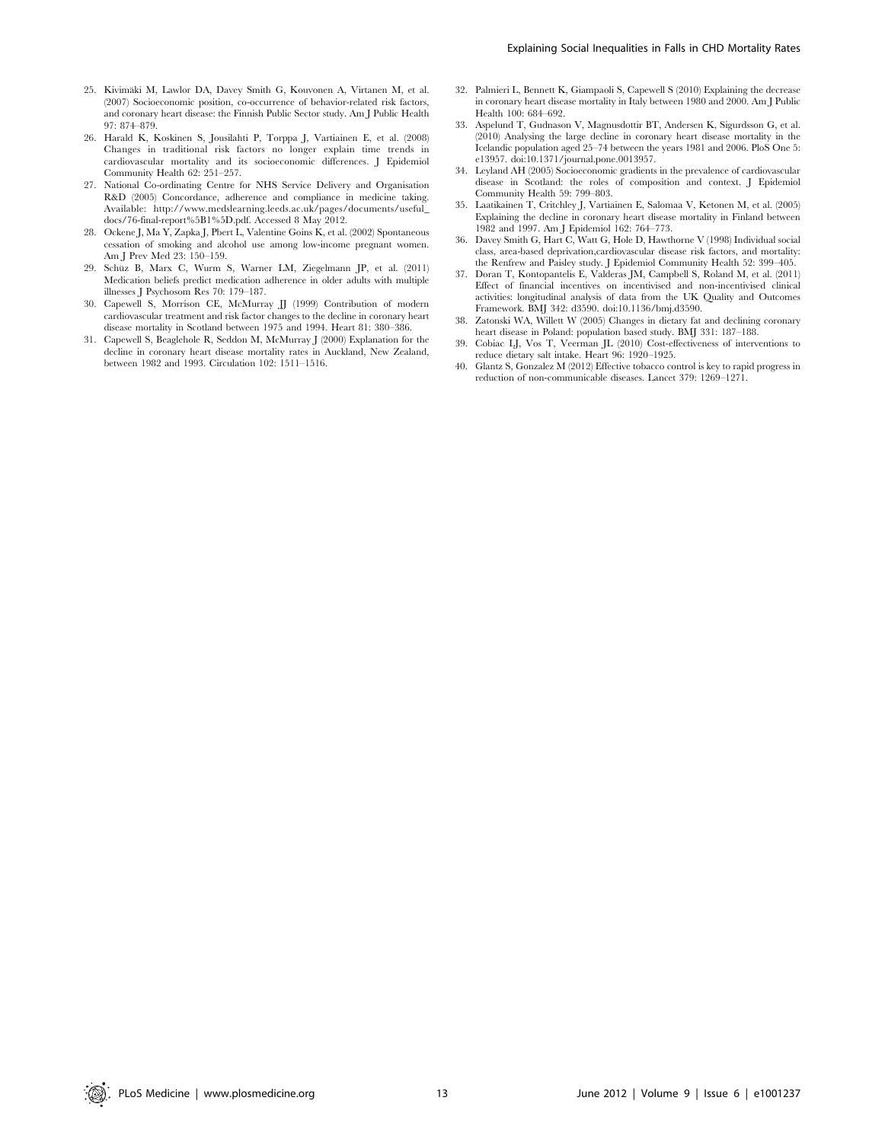- 25. Kivimäki M, Lawlor DA, Davey Smith G, Kouvonen A, Virtanen M, et al. (2007) Socioeconomic position, co-occurrence of behavior-related risk factors, and coronary heart disease: the Finnish Public Sector study. Am J Public Health 97: 874–879.
- 26. Harald K, Koskinen S, Jousilahti P, Torppa J, Vartiainen E, et al. (2008) Changes in traditional risk factors no longer explain time trends in cardiovascular mortality and its socioeconomic differences. J Epidemiol Community Health 62: 251–257.
- 27. National Co-ordinating Centre for NHS Service Delivery and Organisation R&D (2005) Concordance, adherence and compliance in medicine taking. Available: http://www.medslearning.leeds.ac.uk/pages/documents/useful\_ docs/76-final-report%5B1%5D.pdf. Accessed 8 May 2012.
- 28. Ockene J, Ma Y, Zapka J, Pbert L, Valentine Goins K, et al. (2002) Spontaneous cessation of smoking and alcohol use among low-income pregnant women. Am J Prev Med 23: 150–159.
- 29. Schüz B, Marx C, Wurm S, Warner LM, Ziegelmann JP, et al. (2011) Medication beliefs predict medication adherence in older adults with multiple illnesses J Psychosom Res 70: 179–187.
- 30. Capewell S, Morrison CE, McMurray JJ (1999) Contribution of modern cardiovascular treatment and risk factor changes to the decline in coronary heart disease mortality in Scotland between 1975 and 1994. Heart 81: 380–386.
- 31. Capewell S, Beaglehole R, Seddon M, McMurray J (2000) Explanation for the decline in coronary heart disease mortality rates in Auckland, New Zealand, between 1982 and 1993. Circulation 102: 1511–1516.
- 32. Palmieri L, Bennett K, Giampaoli S, Capewell S (2010) Explaining the decrease in coronary heart disease mortality in Italy between 1980 and 2000. Am J Public Health 100: 684–692.
- 33. Aspelund T, Gudnason V, Magnusdottir BT, Andersen K, Sigurdsson G, et al. (2010) Analysing the large decline in coronary heart disease mortality in the Icelandic population aged 25–74 between the years 1981 and 2006. PloS One 5: e13957. doi:10.1371/journal.pone.0013957.
- 34. Leyland AH (2005) Socioeconomic gradients in the prevalence of cardiovascular disease in Scotland: the roles of composition and context. J Epidemiol Community Health 59: 799–803.
- 35. Laatikainen T, Critchley J, Vartiainen E, Salomaa V, Ketonen M, et al. (2005) Explaining the decline in coronary heart disease mortality in Finland between 1982 and 1997. Am J Epidemiol 162: 764–773.
- 36. Davey Smith G, Hart C, Watt G, Hole D, Hawthorne V (1998) Individual social class, area-based deprivation,cardiovascular disease risk factors, and mortality: the Renfrew and Paisley study. J Epidemiol Community Health 52: 399–405.
- 37. Doran T, Kontopantelis E, Valderas JM, Campbell S, Roland M, et al. (2011) Effect of financial incentives on incentivised and non-incentivised clinical activities: longitudinal analysis of data from the UK Quality and Outcomes Framework. BMJ 342: d3590. doi:10.1136/bmj.d3590.
- 38. Zatonski WA, Willett W (2005) Changes in dietary fat and declining coronary heart disease in Poland: population based study. BMJ 331: 187–188.
- 39. Cobiac LJ, Vos T, Veerman JL (2010) Cost-effectiveness of interventions to reduce dietary salt intake. Heart 96: 1920–1925.
- 40. Glantz S, Gonzalez M (2012) Effective tobacco control is key to rapid progress in reduction of non-communicable diseases. Lancet 379: 1269–1271.